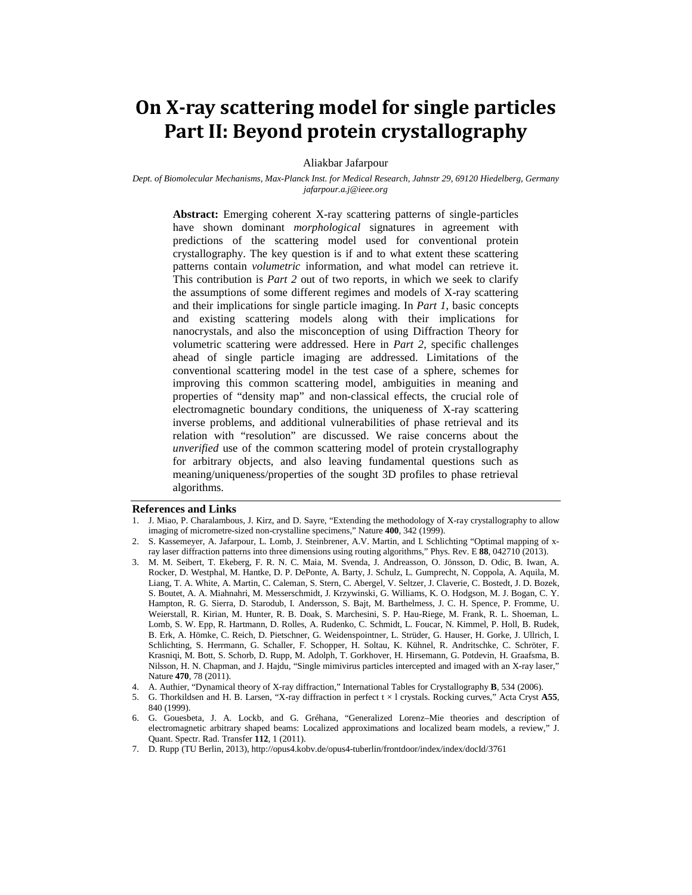# **On X-ray scattering model for single particles Part II: Beyond protein crystallography**

Aliakbar Jafarpour

*Dept. of Biomolecular Mechanisms, Max-Planck Inst. for Medical Research, Jahnstr 29, 69120 Hiedelberg, Germany jafarpour.a.j@ieee.org*

**Abstract:** Emerging coherent X-ray scattering patterns of single-particles have shown dominant *morphological* signatures in agreement with predictions of the scattering model used for conventional protein crystallography. The key question is if and to what extent these scattering patterns contain *volumetric* information, and what model can retrieve it. This contribution is *Part 2* out of two reports, in which we seek to clarify the assumptions of some different regimes and models of X-ray scattering and their implications for single particle imaging. In *Part 1*, basic concepts and existing scattering models along with their implications for nanocrystals, and also the misconception of using Diffraction Theory for volumetric scattering were addressed. Here in *Part 2*, specific challenges ahead of single particle imaging are addressed. Limitations of the conventional scattering model in the test case of a sphere, schemes for improving this common scattering model, ambiguities in meaning and properties of "density map" and non-classical effects, the crucial role of electromagnetic boundary conditions, the uniqueness of X-ray scattering inverse problems, and additional vulnerabilities of phase retrieval and its relation with "resolution" are discussed. We raise concerns about the *unverified* use of the common scattering model of protein crystallography for arbitrary objects, and also leaving fundamental questions such as meaning/uniqueness/properties of the sought 3D profiles to phase retrieval algorithms.

## **References and Links**

- 1. J. Miao, P. Charalambous, J. Kirz, and D. Sayre, "Extending the methodology of X-ray crystallography to allow imaging of micrometre-sized non-crystalline specimens," Nature **400**, 342 (1999).
- 2. S. Kassemeyer, A. Jafarpour, L. Lomb, J. Steinbrener, A.V. Martin, and I. Schlichting "Optimal mapping of xray laser diffraction patterns into three dimensions using routing algorithms," Phys. Rev. E **88**, 042710 (2013).
- 3. M. M. Seibert, T. Ekeberg, F. R. N. C. Maia, M. Svenda, J. Andreasson, O. Jönsson, D. Odic, B. Iwan, A. Rocker, D. Westphal, M. Hantke, D. P. DePonte, A. Barty, J. Schulz, L. Gumprecht, N. Coppola, A. Aquila, M. Liang, T. A. White, A. Martin, C. Caleman, S. Stern, C. Abergel, V. Seltzer, J. Claverie, C. Bostedt, J. D. Bozek, S. Boutet, A. A. Miahnahri, M. Messerschmidt, J. Krzywinski, G. Williams, K. O. Hodgson, M. J. Bogan, C. Y. Hampton, R. G. Sierra, D. Starodub, I. Andersson, S. Bajt, M. Barthelmess, J. C. H. Spence, P. Fromme, U. Weierstall, R. Kirian, M. Hunter, R. B. Doak, S. Marchesini, S. P. Hau-Riege, M. Frank, R. L. Shoeman, L. Lomb, S. W. Epp, R. Hartmann, D. Rolles, A. Rudenko, C. Schmidt, L. Foucar, N. Kimmel, P. Holl, B. Rudek, B. Erk, A. Hömke, C. Reich, D. Pietschner, G. Weidenspointner, L. Strüder, G. Hauser, H. Gorke, J. Ullrich, I. Schlichting, S. Herrmann, G. Schaller, F. Schopper, H. Soltau, K. Kühnel, R. Andritschke, C. Schröter, F. Krasniqi, M. Bott, S. Schorb, D. Rupp, M. Adolph, T. Gorkhover, H. Hirsemann, G. Potdevin, H. Graafsma, B. Nilsson, H. N. Chapman, and J. Hajdu, "Single mimivirus particles intercepted and imaged with an X-ray laser," Nature **470**, 78 (2011).
- 4. A. Authier, "Dynamical theory of X-ray diffraction," International Tables for Crystallography **B**, 534 (2006).
- 5. G. Thorkildsen and H. B. Larsen, "X-ray diffraction in perfect t × l crystals. Rocking curves," Acta Cryst **A55**, 840 (1999).
- 6. G. Gouesbeta, J. A. Lockb, and G. Gréhana, "Generalized Lorenz–Mie theories and description of electromagnetic arbitrary shaped beams: Localized approximations and localized beam models, a review," J. Quant. Spectr. Rad. Transfer **112**, 1 (2011).
- 7. D. Rupp (TU Berlin, 2013), http://opus4.kobv.de/opus4-tuberlin/frontdoor/index/index/docId/3761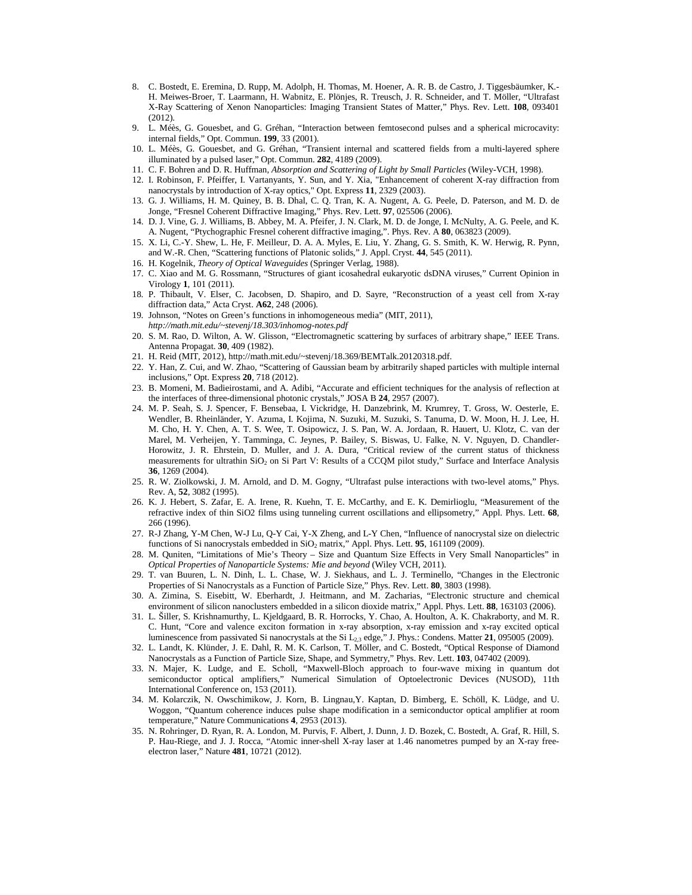- 8. C. Bostedt, E. Eremina, D. Rupp, M. Adolph, H. Thomas, M. Hoener, A. R. B. de Castro, J. Tiggesbäumker, K.- H. Meiwes-Broer, T. Laarmann, H. Wabnitz, E. Plönjes, R. Treusch, J. R. Schneider, and T. Möller, "Ultrafast X-Ray Scattering of Xenon Nanoparticles: Imaging Transient States of Matter," Phys. Rev. Lett. **108**, 093401 (2012).
- 9. L. Méès, G. Gouesbet, and G. Gréhan, "Interaction between femtosecond pulses and a spherical microcavity: internal fields," Opt. Commun. **199**, 33 (2001).
- 10. L. Méès, G. Gouesbet, and G. Gréhan, "Transient internal and scattered fields from a multi-layered sphere illuminated by a pulsed laser," Opt. Commun. **282**, 4189 (2009).
- 11. C. F. Bohren and D. R. Huffman, *Absorption and Scattering of Light by Small Particles* (Wiley-VCH, 1998).
- 12. I. Robinson, F. Pfeiffer, I. Vartanyants, Y. Sun, and Y. Xia, "Enhancement of coherent X-ray diffraction from nanocrystals by introduction of X-ray optics," Opt. Express **11**, 2329 (2003).
- 13. G. J. Williams, H. M. Quiney, B. B. Dhal, C. Q. Tran, K. A. Nugent, A. G. Peele, D. Paterson, and M. D. de Jonge, "Fresnel Coherent Diffractive Imaging," Phys. Rev. Lett. **97**, 025506 (2006).
- 14. D. J. Vine, G. J. Williams, B. Abbey, M. A. Pfeifer, J. N. Clark, M. D. de Jonge, I. McNulty, A. G. Peele, and K. A. Nugent, "Ptychographic Fresnel coherent diffractive imaging,". Phys. Rev. A **80**, 063823 (2009).
- 15. X. Li, C.-Y. Shew, L. He, F. Meilleur, D. A. A. Myles, E. Liu, Y. Zhang, G. S. Smith, K. W. Herwig, R. Pynn, and W.-R. Chen, "Scattering functions of Platonic solids," J. Appl. Cryst. **44**, 545 (2011).
- 16. H. Kogelnik, *Theory of Optical Waveguides* (Springer Verlag, 1988).
- 17. C. Xiao and M. G. Rossmann, "Structures of giant icosahedral eukaryotic dsDNA viruses," Current Opinion in Virology **1**, 101 (2011).
- 18. P. Thibault, V. Elser, C. Jacobsen, D. Shapiro, and D. Sayre, "Reconstruction of a yeast cell from X-ray diffraction data," Acta Cryst. **A62**, 248 (2006).
- 19. Johnson, "Notes on Green's functions in inhomogeneous media" (MIT, 2011), *http://math.mit.edu/~stevenj/18.303/inhomog-notes.pdf*
- 20. S. M. Rao, D. Wilton, A. W. Glisson, "Electromagnetic scattering by surfaces of arbitrary shape," IEEE Trans. Antenna Propagat. **30**, 409 (1982).
- 21. H. Reid (MIT, 2012), http://math.mit.edu/~stevenj/18.369/BEMTalk.20120318.pdf.
- 22. Y. Han, Z. Cui, and W. Zhao, "Scattering of Gaussian beam by arbitrarily shaped particles with multiple internal inclusions," Opt. Express **20**, 718 (2012).
- 23. B. Momeni, M. Badieirostami, and A. Adibi, "Accurate and efficient techniques for the analysis of reflection at the interfaces of three-dimensional photonic crystals," JOSA B **24**, 2957 (2007).
- 24. M. P. Seah, S. J. Spencer, F. Bensebaa, I. Vickridge, H. Danzebrink, M. Krumrey, T. Gross, W. Oesterle, E. Wendler, B. Rheinländer, Y. Azuma, I. Kojima, N. Suzuki, M. Suzuki, S. Tanuma, D. W. Moon, H. J. Lee, H. M. Cho, H. Y. Chen, A. T. S. Wee, T. Osipowicz, J. S. Pan, W. A. Jordaan, R. Hauert, U. Klotz, C. van der Marel, M. Verheijen, Y. Tamminga, C. Jeynes, P. Bailey, S. Biswas, U. Falke, N. V. Nguyen, D. Chandler-Horowitz, J. R. Ehrstein, D. Muller, and J. A. Dura, "Critical review of the current status of thickness measurements for ultrathin SiO<sub>2</sub> on Si Part V: Results of a CCQM pilot study," Surface and Interface Analysis **36**, 1269 (2004).
- 25. R. W. Ziolkowski, J. M. Arnold, and D. M. Gogny, "Ultrafast pulse interactions with two-level atoms," Phys. Rev. A, **52**, 3082 (1995).
- 26. K. J. Hebert, S. Zafar, E. A. Irene, R. Kuehn, T. E. McCarthy, and E. K. Demirlioglu, "Measurement of the refractive index of thin SiO2 films using tunneling current oscillations and ellipsometry," Appl. Phys. Lett. **68**, 266 (1996).
- 27. R-J Zhang, Y-M Chen, W-J Lu, Q-Y Cai, Y-X Zheng, and L-Y Chen, "Influence of nanocrystal size on dielectric functions of Si nanocrystals embedded in SiO2 matrix," Appl. Phys. Lett. **95**, 161109 (2009).
- 28. M. Quniten, "Limitations of Mie's Theory Size and Quantum Size Effects in Very Small Nanoparticles" in *Optical Properties of Nanoparticle Systems: Mie and beyond* (Wiley VCH, 2011).
- 29. T. van Buuren, L. N. Dinh, L. L. Chase, W. J. Siekhaus, and L. J. Terminello, "Changes in the Electronic Properties of Si Nanocrystals as a Function of Particle Size," Phys. Rev. Lett. **80**, 3803 (1998).
- 30. A. Zimina, S. Eisebitt, W. Eberhardt, J. Heitmann, and M. Zacharias, "Electronic structure and chemical environment of silicon nanoclusters embedded in a silicon dioxide matrix," Appl. Phys. Lett. **88**, 163103 (2006).
- 31. L. Šiller, S. Krishnamurthy, L. Kjeldgaard, B. R. Horrocks, Y. Chao, A. Houlton, A. K. Chakraborty, and M. R. C. Hunt, "Core and valence exciton formation in x-ray absorption, x-ray emission and x-ray excited optical luminescence from passivated Si nanocrystals at the Si L2,3 edge," J. Phys.: Condens. Matter **21**, 095005 (2009).
- 32. L. Landt, K. Klünder, J. E. Dahl, R. M. K. Carlson, T. Möller, and C. Bostedt, "Optical Response of Diamond Nanocrystals as a Function of Particle Size, Shape, and Symmetry," Phys. Rev. Lett. **103**, 047402 (2009).
- 33. N. Majer, K. Ludge, and E. Scholl, "Maxwell-Bloch approach to four-wave mixing in quantum dot semiconductor optical amplifiers," Numerical Simulation of Optoelectronic Devices (NUSOD), 11th International Conference on, 153 (2011).
- 34. M. Kolarczik, N. Owschimikow, J. Korn, B. Lingnau,Y. Kaptan, D. Bimberg, E. Schöll, K. Lüdge, and U. Woggon, "Quantum coherence induces pulse shape modification in a semiconductor optical amplifier at room temperature," Nature Communications **4**, 2953 (2013).
- 35. N. Rohringer, D. Ryan, R. A. London, M. Purvis, F. Albert, J. Dunn, J. D. Bozek, C. Bostedt, A. Graf, R. Hill, S. P. Hau-Riege, and J. J. Rocca, "Atomic inner-shell X-ray laser at 1.46 nanometres pumped by an X-ray freeelectron laser," Nature **481**, 10721 (2012).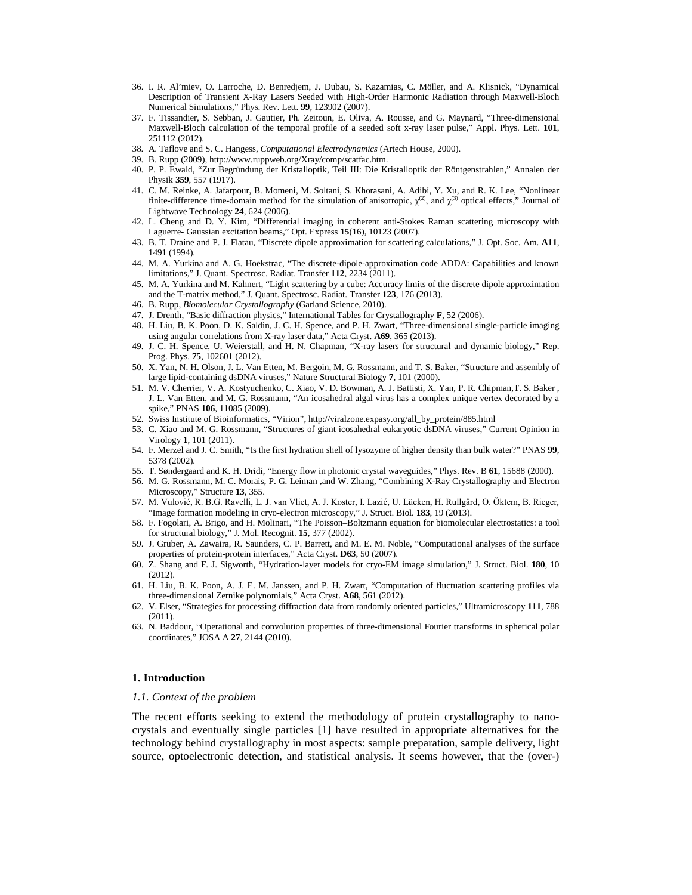- 36. I. R. Al'miev, O. Larroche, D. Benredjem, J. Dubau, S. Kazamias, C. Möller, and A. Klisnick, "Dynamical Description of Transient X-Ray Lasers Seeded with High-Order Harmonic Radiation through Maxwell-Bloch Numerical Simulations," Phys. Rev. Lett. **99**, 123902 (2007).
- 37. F. Tissandier, S. Sebban, J. Gautier, Ph. Zeitoun, E. Oliva, A. Rousse, and G. Maynard, "Three-dimensional Maxwell-Bloch calculation of the temporal profile of a seeded soft x-ray laser pulse," Appl. Phys. Lett. **101**, 251112 (2012).
- 38. A. Taflove and S. C. Hangess, *Computational Electrodynamics* (Artech House, 2000).
- 39. B. Rupp (2009), http://www.ruppweb.org/Xray/comp/scatfac.htm.
- 40. P. P. Ewald, "Zur Begründung der Kristalloptik, Teil III: Die Kristalloptik der Röntgenstrahlen," Annalen der Physik **359**, 557 (1917).
- 41. C. M. Reinke, A. Jafarpour, B. Momeni, M. Soltani, S. Khorasani, A. Adibi, Y. Xu, and R. K. Lee, "Nonlinear finite-difference time-domain method for the simulation of anisotropic,  $\chi^{(2)}$ , and  $\chi^{(3)}$  optical effects," Journal of Lightwave Technology **24**, 624 (2006).
- 42. L. Cheng and D. Y. Kim, "Differential imaging in coherent anti-Stokes Raman scattering microscopy with Laguerre- Gaussian excitation beams," Opt. Express **15**(16), 10123 (2007).
- 43. B. T. Draine and P. J. Flatau, "Discrete dipole approximation for scattering calculations," J. Opt. Soc. Am. **A11**, 1491 (1994).
- 44. M. A. Yurkina and A. G. Hoekstrac, "The discrete-dipole-approximation code ADDA: Capabilities and known limitations," J. Quant. Spectrosc. Radiat. Transfer **112**, 2234 (2011).
- 45. M. A. Yurkina and M. Kahnert, "Light scattering by a cube: Accuracy limits of the discrete dipole approximation and the T-matrix method," J. Quant. Spectrosc. Radiat. Transfer **123**, 176 (2013).
- 46. B. Rupp, *Biomolecular Crystallography* (Garland Science, 2010).
- 47. J. Drenth, "Basic diffraction physics," International Tables for Crystallography **F**, 52 (2006).
- 48. H. Liu, B. K. Poon, D. K. Saldin, J. C. H. Spence, and P. H. Zwart, "Three-dimensional single-particle imaging using angular correlations from X-ray laser data," Acta Cryst. **A69**, 365 (2013).
- 49. J. C. H. Spence, U. Weierstall, and H. N. Chapman, "X-ray lasers for structural and dynamic biology," Rep. Prog. Phys. **75**, 102601 (2012).
- 50. X. Yan, N. H. Olson, J. L. Van Etten, M. Bergoin, M. G. Rossmann, and T. S. Baker, "Structure and assembly of large lipid-containing dsDNA viruses," Nature Structural Biology **7**, 101 (2000).
- 51. M. V. Cherrier, V. A. Kostyuchenko, C. Xiao, V. D. Bowman, A. J. Battisti, X. Yan, P. R. Chipman,T. S. Baker , J. L. Van Etten, and M. G. Rossmann, "An icosahedral algal virus has a complex unique vertex decorated by a spike," PNAS **106**, 11085 (2009).
- 52. Swiss Institute of Bioinformatics, "Virion", http://viralzone.expasy.org/all\_by\_protein/885.html
- 53. C. Xiao and M. G. Rossmann, "Structures of giant icosahedral eukaryotic dsDNA viruses," Current Opinion in Virology **1**, 101 (2011).
- 54. F. Merzel and J. C. Smith, "Is the first hydration shell of lysozyme of higher density than bulk water?" PNAS **99**, 5378 (2002).
- 55. T. Søndergaard and K. H. Dridi, "Energy flow in photonic crystal waveguides," Phys. Rev. B **61**, 15688 (2000).
- 56. M. G. Rossmann, M. C. Morais, P. G. Leiman ,and W. Zhang, "Combining X-Ray Crystallography and Electron Microscopy," Structure **13**, 355.
- 57. M. Vulović, R. B.G. Ravelli, L. J. van Vliet, A. J. Koster, I. Lazić, U. Lücken, H. Rullgård, O. Öktem, B. Rieger, "Image formation modeling in cryo-electron microscopy," J. Struct. Biol. **183**, 19 (2013).
- 58. F. Fogolari, A. Brigo, and H. Molinari, "The Poisson–Boltzmann equation for biomolecular electrostatics: a tool for structural biology," J. Mol. Recognit. **15**, 377 (2002).
- 59. J. Gruber, A. Zawaira, R. Saunders, C. P. Barrett, and M. E. M. Noble, "Computational analyses of the surface properties of protein-protein interfaces," Acta Cryst. **D63**, 50 (2007).
- 60. Z. Shang and F. J. Sigworth, "Hydration-layer models for cryo-EM image simulation," J. Struct. Biol. **180**, 10 (2012).
- 61. H. Liu, B. K. Poon, A. J. E. M. Janssen, and P. H. Zwart, "Computation of fluctuation scattering profiles via three-dimensional Zernike polynomials," Acta Cryst. **A68**, 561 (2012).
- 62. V. Elser, "Strategies for processing diffraction data from randomly oriented particles," Ultramicroscopy **111**, 788 (2011).
- 63. N. Baddour, "Operational and convolution properties of three-dimensional Fourier transforms in spherical polar coordinates," JOSA A **27**, 2144 (2010).

## **1. Introduction**

#### *1.1. Context of the problem*

The recent efforts seeking to extend the methodology of protein crystallography to nanocrystals and eventually single particles [1] have resulted in appropriate alternatives for the technology behind crystallography in most aspects: sample preparation, sample delivery, light source, optoelectronic detection, and statistical analysis. It seems however, that the (over-)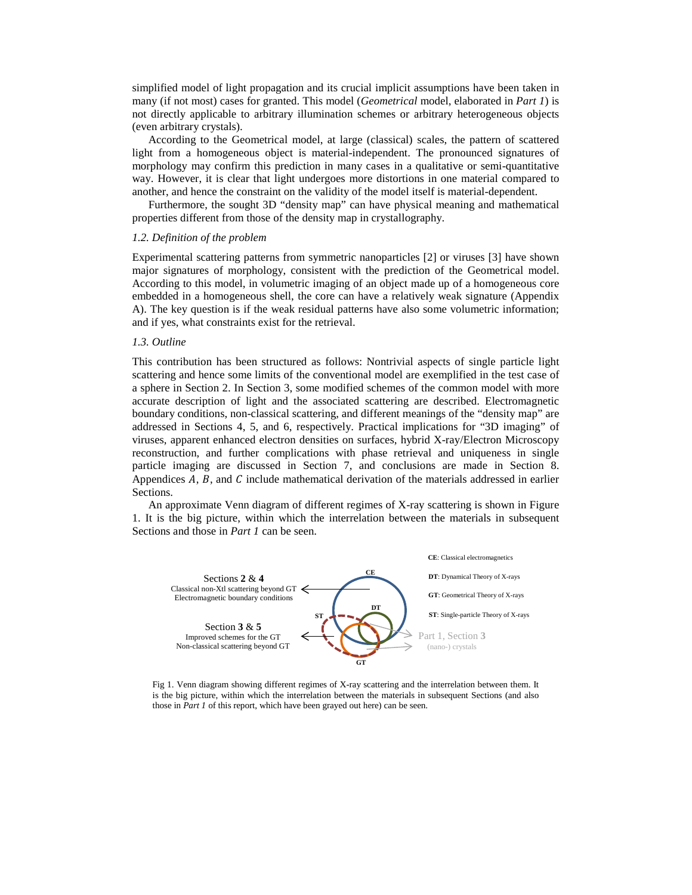simplified model of light propagation and its crucial implicit assumptions have been taken in many (if not most) cases for granted. This model (*Geometrical* model, elaborated in *Part 1*) is not directly applicable to arbitrary illumination schemes or arbitrary heterogeneous objects (even arbitrary crystals).

According to the Geometrical model, at large (classical) scales, the pattern of scattered light from a homogeneous object is material-independent. The pronounced signatures of morphology may confirm this prediction in many cases in a qualitative or semi-quantitative way. However, it is clear that light undergoes more distortions in one material compared to another, and hence the constraint on the validity of the model itself is material-dependent.

Furthermore, the sought 3D "density map" can have physical meaning and mathematical properties different from those of the density map in crystallography.

## *1.2. Definition of the problem*

Experimental scattering patterns from symmetric nanoparticles [2] or viruses [3] have shown major signatures of morphology, consistent with the prediction of the Geometrical model. According to this model, in volumetric imaging of an object made up of a homogeneous core embedded in a homogeneous shell, the core can have a relatively weak signature (Appendix A). The key question is if the weak residual patterns have also some volumetric information; and if yes, what constraints exist for the retrieval.

## *1.3. Outline*

This contribution has been structured as follows: Nontrivial aspects of single particle light scattering and hence some limits of the conventional model are exemplified in the test case of a sphere in Section 2. In Section 3, some modified schemes of the common model with more accurate description of light and the associated scattering are described. Electromagnetic boundary conditions, non-classical scattering, and different meanings of the "density map" are addressed in Sections 4, 5, and 6, respectively. Practical implications for "3D imaging" of viruses, apparent enhanced electron densities on surfaces, hybrid X-ray/Electron Microscopy reconstruction, and further complications with phase retrieval and uniqueness in single particle imaging are discussed in Section 7, and conclusions are made in Section 8. Appendices  $A$ ,  $B$ , and  $C$  include mathematical derivation of the materials addressed in earlier Sections.

An approximate Venn diagram of different regimes of X-ray scattering is shown in [Figure](#page-3-0)  [1.](#page-3-0) It is the big picture, within which the interrelation between the materials in subsequent Sections and those in *Part 1* can be seen.



<span id="page-3-0"></span>Fig 1. Venn diagram showing different regimes of X-ray scattering and the interrelation between them. It is the big picture, within which the interrelation between the materials in subsequent Sections (and also those in *Part 1* of this report, which have been grayed out here) can be seen.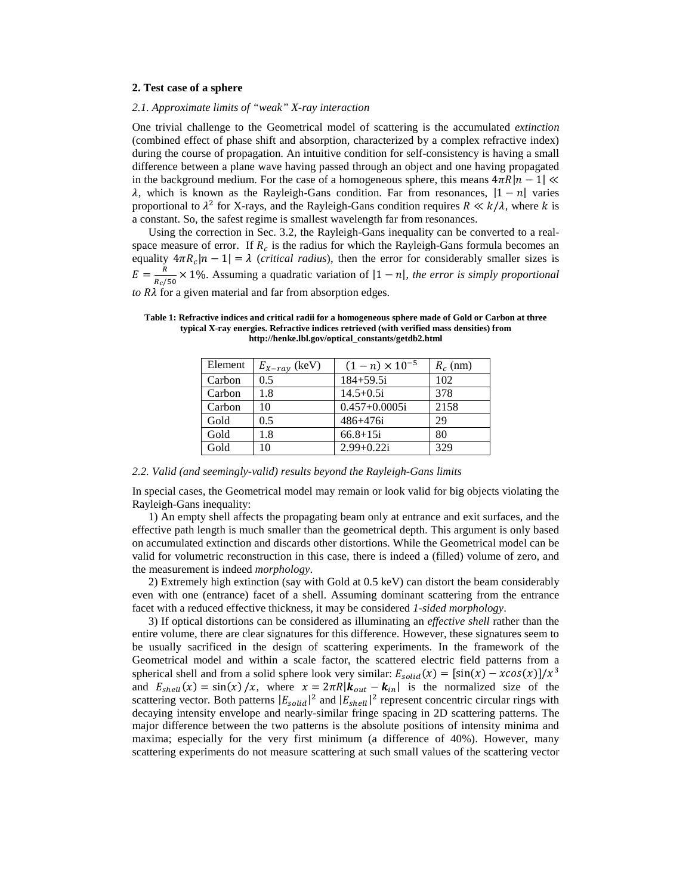## **2. Test case of a sphere**

## *2.1. Approximate limits of "weak" X-ray interaction*

One trivial challenge to the Geometrical model of scattering is the accumulated *extinction* (combined effect of phase shift and absorption, characterized by a complex refractive index) during the course of propagation. An intuitive condition for self-consistency is having a small difference between a plane wave having passed through an object and one having propagated in the background medium. For the case of a homogeneous sphere, this means  $4\pi R |n - 1| \ll$  $λ$ , which is known as the Rayleigh-Gans condition. Far from resonances,  $|1 - n|$  varies proportional to  $\lambda^2$  for X-rays, and the Rayleigh-Gans condition requires  $R \ll k/\lambda$ , where k is a constant. So, the safest regime is smallest wavelength far from resonances.

Using the correction in Sec. 3.2, the Rayleigh-Gans inequality can be converted to a realspace measure of error. If  $R_c$  is the radius for which the Rayleigh-Gans formula becomes an equality  $4\pi R_c |n - 1| = \lambda$  (*critical radius*), then the error for considerably smaller sizes is  $E = \frac{R}{R_c/50} \times 1\%$ . Assuming a quadratic variation of  $|1 - n|$ , *the error is simply proportional*  $to R\lambda$  for a given material and far from absorption edges.

| Element | $E_{X-ray}$ (keV) | $(1-n) \times 10^{-5}$ | $R_c$ (nm) |
|---------|-------------------|------------------------|------------|
| Carbon  | 0.5               | $184 + 59.5i$          | 102        |
| Carbon  | 1.8               | $14.5 + 0.5i$          | 378        |
| Carbon  | 10                | $0.457+0.0005i$        | 2158       |
| Gold    | 0.5               | $486 + 476i$           | 29         |
| Gold    | 1.8               | $66.8 + 15i$           | 80         |
| Gold    |                   | $2.99+0.22i$           | 329        |

<span id="page-4-0"></span>**Table 1: Refractive indices and critical radii for a homogeneous sphere made of Gold or Carbon at three typical X-ray energies. Refractive indices retrieved (with verified mass densities) from http://henke.lbl.gov/optical\_constants/getdb2.html**

## *2.2. Valid (and seemingly-valid) results beyond the Rayleigh-Gans limits*

In special cases, the Geometrical model may remain or look valid for big objects violating the Rayleigh-Gans inequality:

1) An empty shell affects the propagating beam only at entrance and exit surfaces, and the effective path length is much smaller than the geometrical depth. This argument is only based on accumulated extinction and discards other distortions. While the Geometrical model can be valid for volumetric reconstruction in this case, there is indeed a (filled) volume of zero, and the measurement is indeed *morphology*.

2) Extremely high extinction (say with Gold at 0.5 keV) can distort the beam considerably even with one (entrance) facet of a shell. Assuming dominant scattering from the entrance facet with a reduced effective thickness, it may be considered *1-sided morphology*.

3) If optical distortions can be considered as illuminating an *effective shell* rather than the entire volume, there are clear signatures for this difference. However, these signatures seem to be usually sacrificed in the design of scattering experiments. In the framework of the Geometrical model and within a scale factor, the scattered electric field patterns from a spherical shell and from a solid sphere look very similar:  $E_{solid}(x) = [\sin(x) - x\cos(x)]/x^3$ and  $E_{shell}(x) = \sin(x)/x$ , where  $x = 2\pi R |k_{out} - k_{in}|$  is the normalized size of the scattering vector. Both patterns  $|E_{solid}|^2$  and  $|E_{shell}|^2$  represent concentric circular rings with decaying intensity envelope and nearly-similar fringe spacing in 2D scattering patterns. The major difference between the two patterns is the absolute positions of intensity minima and maxima; especially for the very first minimum (a difference of 40%). However, many scattering experiments do not measure scattering at such small values of the scattering vector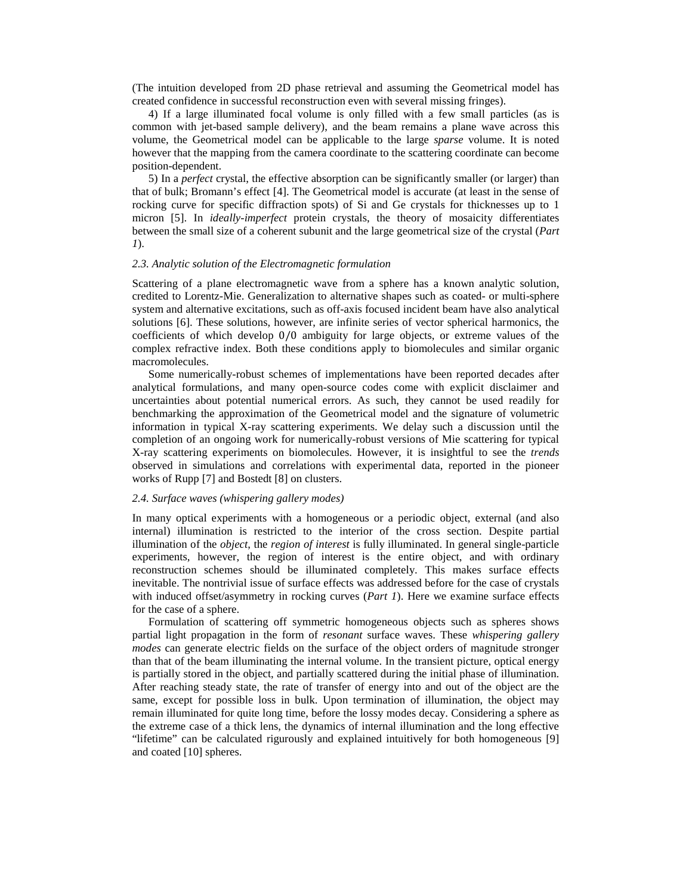(The intuition developed from 2D phase retrieval and assuming the Geometrical model has created confidence in successful reconstruction even with several missing fringes).

4) If a large illuminated focal volume is only filled with a few small particles (as is common with jet-based sample delivery), and the beam remains a plane wave across this volume, the Geometrical model can be applicable to the large *sparse* volume. It is noted however that the mapping from the camera coordinate to the scattering coordinate can become position-dependent.

5) In a *perfect* crystal, the effective absorption can be significantly smaller (or larger) than that of bulk; Bromann's effect [4]. The Geometrical model is accurate (at least in the sense of rocking curve for specific diffraction spots) of Si and Ge crystals for thicknesses up to 1 micron [5]. In *ideally-imperfect* protein crystals, the theory of mosaicity differentiates between the small size of a coherent subunit and the large geometrical size of the crystal (*Part 1*).

## *2.3. Analytic solution of the Electromagnetic formulation*

Scattering of a plane electromagnetic wave from a sphere has a known analytic solution, credited to Lorentz-Mie. Generalization to alternative shapes such as coated- or multi-sphere system and alternative excitations, such as off-axis focused incident beam have also analytical solutions [6]. These solutions, however, are infinite series of vector spherical harmonics, the coefficients of which develop 0/0 ambiguity for large objects, or extreme values of the complex refractive index. Both these conditions apply to biomolecules and similar organic macromolecules.

Some numerically-robust schemes of implementations have been reported decades after analytical formulations, and many open-source codes come with explicit disclaimer and uncertainties about potential numerical errors. As such, they cannot be used readily for benchmarking the approximation of the Geometrical model and the signature of volumetric information in typical X-ray scattering experiments. We delay such a discussion until the completion of an ongoing work for numerically-robust versions of Mie scattering for typical X-ray scattering experiments on biomolecules. However, it is insightful to see the *trends* observed in simulations and correlations with experimental data, reported in the pioneer works of Rupp [7] and Bostedt [8] on clusters.

## *2.4. Surface waves (whispering gallery modes)*

In many optical experiments with a homogeneous or a periodic object, external (and also internal) illumination is restricted to the interior of the cross section. Despite partial illumination of the *object*, the *region of interest* is fully illuminated. In general single-particle experiments, however, the region of interest is the entire object, and with ordinary reconstruction schemes should be illuminated completely. This makes surface effects inevitable. The nontrivial issue of surface effects was addressed before for the case of crystals with induced offset/asymmetry in rocking curves (*Part 1*). Here we examine surface effects for the case of a sphere.

Formulation of scattering off symmetric homogeneous objects such as spheres shows partial light propagation in the form of *resonant* surface waves. These *whispering gallery modes* can generate electric fields on the surface of the object orders of magnitude stronger than that of the beam illuminating the internal volume. In the transient picture, optical energy is partially stored in the object, and partially scattered during the initial phase of illumination. After reaching steady state, the rate of transfer of energy into and out of the object are the same, except for possible loss in bulk. Upon termination of illumination, the object may remain illuminated for quite long time, before the lossy modes decay. Considering a sphere as the extreme case of a thick lens, the dynamics of internal illumination and the long effective "lifetime" can be calculated rigurously and explained intuitively for both homogeneous [9] and coated [10] spheres.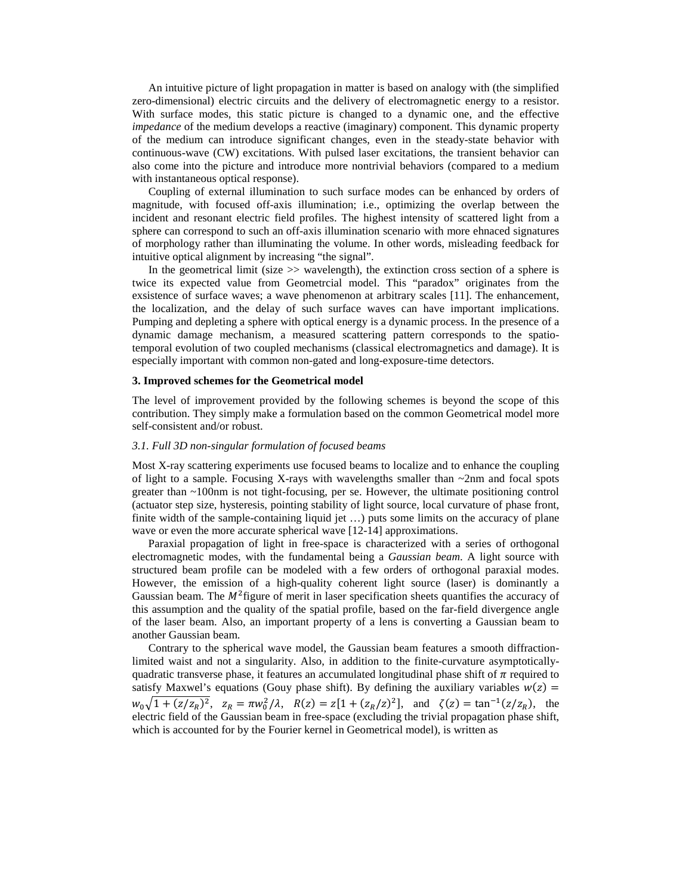An intuitive picture of light propagation in matter is based on analogy with (the simplified zero-dimensional) electric circuits and the delivery of electromagnetic energy to a resistor. With surface modes, this static picture is changed to a dynamic one, and the effective *impedance* of the medium develops a reactive (imaginary) component. This dynamic property of the medium can introduce significant changes, even in the steady-state behavior with continuous-wave (CW) excitations. With pulsed laser excitations, the transient behavior can also come into the picture and introduce more nontrivial behaviors (compared to a medium with instantaneous optical response).

Coupling of external illumination to such surface modes can be enhanced by orders of magnitude, with focused off-axis illumination; i.e., optimizing the overlap between the incident and resonant electric field profiles. The highest intensity of scattered light from a sphere can correspond to such an off-axis illumination scenario with more ehnaced signatures of morphology rather than illuminating the volume. In other words, misleading feedback for intuitive optical alignment by increasing "the signal".

In the geometrical limit (size  $\gg$  wavelength), the extinction cross section of a sphere is twice its expected value from Geometrcial model. This "paradox" originates from the exsistence of surface waves; a wave phenomenon at arbitrary scales [11]. The enhancement, the localization, and the delay of such surface waves can have important implications. Pumping and depleting a sphere with optical energy is a dynamic process. In the presence of a dynamic damage mechanism, a measured scattering pattern corresponds to the spatiotemporal evolution of two coupled mechanisms (classical electromagnetics and damage). It is especially important with common non-gated and long-exposure-time detectors.

## **3. Improved schemes for the Geometrical model**

The level of improvement provided by the following schemes is beyond the scope of this contribution. They simply make a formulation based on the common Geometrical model more self-consistent and/or robust.

## *3.1. Full 3D non-singular formulation of focused beams*

Most X-ray scattering experiments use focused beams to localize and to enhance the coupling of light to a sample. Focusing X-rays with wavelengths smaller than  $\sim$ 2nm and focal spots greater than ~100nm is not tight-focusing, per se. However, the ultimate positioning control (actuator step size, hysteresis, pointing stability of light source, local curvature of phase front, finite width of the sample-containing liquid jet ...) puts some limits on the accuracy of plane wave or even the more accurate spherical wave [12-14] approximations.

Paraxial propagation of light in free-space is characterized with a series of orthogonal electromagnetic modes, with the fundamental being a *Gaussian beam*. A light source with structured beam profile can be modeled with a few orders of orthogonal paraxial modes. However, the emission of a high-quality coherent light source (laser) is dominantly a Gaussian beam. The  $M^2$  figure of merit in laser specification sheets quantifies the accuracy of this assumption and the quality of the spatial profile, based on the far-field divergence angle of the laser beam. Also, an important property of a lens is converting a Gaussian beam to another Gaussian beam.

Contrary to the spherical wave model, the Gaussian beam features a smooth diffractionlimited waist and not a singularity. Also, in addition to the finite-curvature asymptoticallyquadratic transverse phase, it features an accumulated longitudinal phase shift of  $\pi$  required to satisfy Maxwel's equations (Gouy phase shift). By defining the auxiliary variables  $w(z)$  =  $w_0\sqrt{1 + (z/z_R)^2}$ ,  $z_R = \pi w_0^2/\lambda$ ,  $R(z) = z[1 + (z_R/z)^2]$ , and  $\zeta(z) = \tan^{-1}(z/z_R)$ , the electric field of the Gaussian beam in free-space (excluding the trivial propagation phase shift, which is accounted for by the Fourier kernel in Geometrical model), is written as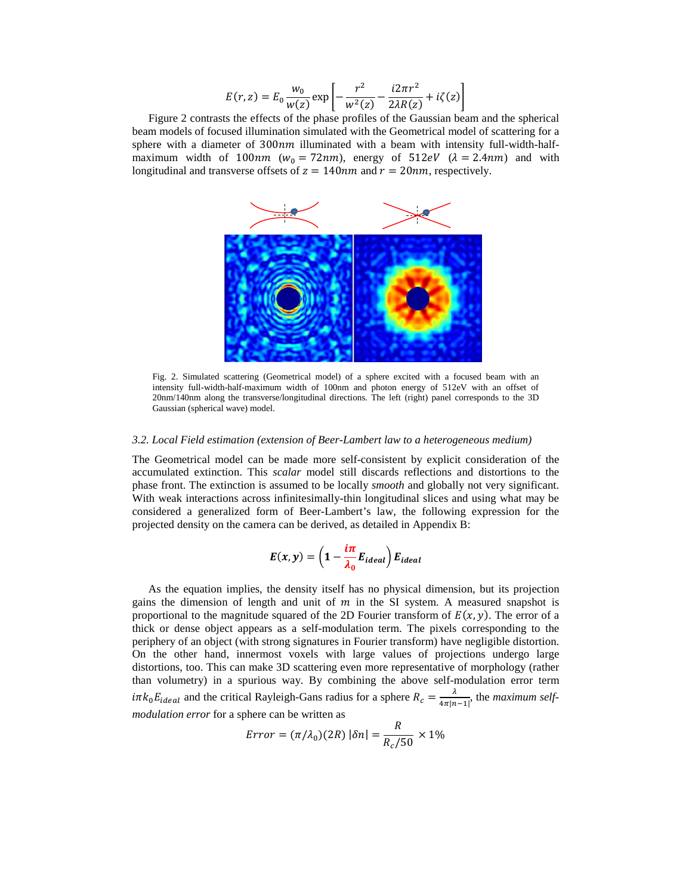$$
E(r, z) = E_0 \frac{w_0}{w(z)} \exp \left[ -\frac{r^2}{w^2(z)} - \frac{i2\pi r^2}{2\lambda R(z)} + i\zeta(z) \right]
$$

[Figure 2](#page-7-0) contrasts the effects of the phase profiles of the Gaussian beam and the spherical beam models of focused illumination simulated with the Geometrical model of scattering for a sphere with a diameter of  $300nm$  illuminated with a beam with intensity full-width-halfmaximum width of 100nm ( $w_0 = 72nm$ ), energy of 512eV ( $\lambda = 2.4nm$ ) and with longitudinal and transverse offsets of  $z = 140nm$  and  $r = 20nm$ , respectively.



<span id="page-7-0"></span>Fig. 2. Simulated scattering (Geometrical model) of a sphere excited with a focused beam with an intensity full-width-half-maximum width of 100nm and photon energy of 512eV with an offset of 20nm/140nm along the transverse/longitudinal directions. The left (right) panel corresponds to the 3D Gaussian (spherical wave) model.

## *3.2. Local Field estimation (extension of Beer-Lambert law to a heterogeneous medium)*

The Geometrical model can be made more self-consistent by explicit consideration of the accumulated extinction. This *scalar* model still discards reflections and distortions to the phase front. The extinction is assumed to be locally *smooth* and globally not very significant. With weak interactions across infinitesimally-thin longitudinal slices and using what may be considered a generalized form of Beer-Lambert's law, the following expression for the projected density on the camera can be derived, as detailed in Appendix B:

$$
E(x, y) = \left(1 - \frac{i\pi}{\lambda_0} E_{ideal}\right) E_{ideal}
$$

As the equation implies, the density itself has no physical dimension, but its projection gains the dimension of length and unit of  $m$  in the SI system. A measured snapshot is proportional to the magnitude squared of the 2D Fourier transform of  $E(x, y)$ . The error of a thick or dense object appears as a self-modulation term. The pixels corresponding to the periphery of an object (with strong signatures in Fourier transform) have negligible distortion. On the other hand, innermost voxels with large values of projections undergo large distortions, too. This can make 3D scattering even more representative of morphology (rather than volumetry) in a spurious way. By combining the above self-modulation error term  $i\pi k_0 E_{ideal}$  and the critical Rayleigh-Gans radius for a sphere  $R_c = \frac{\lambda}{4\pi |n-1|}$ , the *maximum selfmodulation error* for a sphere can be written as

$$
Error = (\pi/\lambda_0)(2R) |\delta n| = \frac{R}{R_c/50} \times 1\%
$$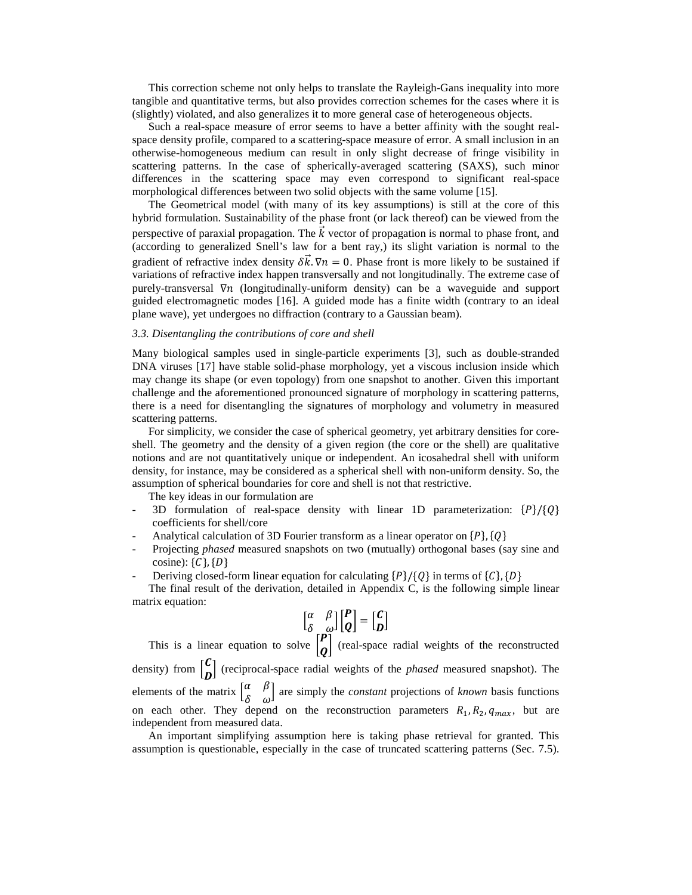This correction scheme not only helps to translate the Rayleigh-Gans inequality into more tangible and quantitative terms, but also provides correction schemes for the cases where it is (slightly) violated, and also generalizes it to more general case of heterogeneous objects.

Such a real-space measure of error seems to have a better affinity with the sought realspace density profile, compared to a scattering-space measure of error. A small inclusion in an otherwise-homogeneous medium can result in only slight decrease of fringe visibility in scattering patterns. In the case of spherically-averaged scattering (SAXS), such minor differences in the scattering space may even correspond to significant real-space morphological differences between two solid objects with the same volume [15].

The Geometrical model (with many of its key assumptions) is still at the core of this hybrid formulation. Sustainability of the phase front (or lack thereof) can be viewed from the perspective of paraxial propagation. The  $\vec{k}$  vector of propagation is normal to phase front, and (according to generalized Snell's law for a bent ray,) its slight variation is normal to the gradient of refractive index density  $\delta \vec{k}$ .  $\nabla n = 0$ . Phase front is more likely to be sustained if variations of refractive index happen transversally and not longitudinally. The extreme case of purely-transversal  $\nabla n$  (longitudinally-uniform density) can be a waveguide and support guided electromagnetic modes [16]. A guided mode has a finite width (contrary to an ideal plane wave), yet undergoes no diffraction (contrary to a Gaussian beam).

## *3.3. Disentangling the contributions of core and shell*

Many biological samples used in single-particle experiments [3], such as double-stranded DNA viruses [17] have stable solid-phase morphology, yet a viscous inclusion inside which may change its shape (or even topology) from one snapshot to another. Given this important challenge and the aforementioned pronounced signature of morphology in scattering patterns, there is a need for disentangling the signatures of morphology and volumetry in measured scattering patterns.

For simplicity, we consider the case of spherical geometry, yet arbitrary densities for coreshell. The geometry and the density of a given region (the core or the shell) are qualitative notions and are not quantitatively unique or independent. An icosahedral shell with uniform density, for instance, may be considered as a spherical shell with non-uniform density. So, the assumption of spherical boundaries for core and shell is not that restrictive.

The key ideas in our formulation are

- 3D formulation of real-space density with linear 1D parameterization:  $\{P\}/\{Q\}$ coefficients for shell/core
- Analytical calculation of 3D Fourier transform as a linear operator on  $\{P\}, \{Q\}$
- Projecting *phased* measured snapshots on two (mutually) orthogonal bases (say sine and cosine):  $\{C\}, \{D\}$
- Deriving closed-form linear equation for calculating  ${P}/{Q}$  in terms of  ${C}$ ,  ${D}$

The final result of the derivation, detailed in Appendix C, is the following simple linear matrix equation:

$$
\begin{bmatrix} \alpha & \beta \\ \delta & \omega \end{bmatrix} \begin{bmatrix} P \\ Q \end{bmatrix} = \begin{bmatrix} C \\ D \end{bmatrix}
$$

This is a linear equation to solve  $\begin{bmatrix} P \\ Q \end{bmatrix}$  (real-space radial weights of the reconstructed density) from  $\begin{bmatrix} C \\ D \end{bmatrix}$  (reciprocal-space radial weights of the *phased* measured snapshot). The elements of the matrix  $\begin{bmatrix} \alpha & \beta \\ \delta & \omega \end{bmatrix}$  are simply the *constant* projections of *known* basis functions on each other. They depend on the reconstruction parameters  $R_1, R_2, q_{max}$ , but are independent from measured data.

An important simplifying assumption here is taking phase retrieval for granted. This assumption is questionable, especially in the case of truncated scattering patterns (Sec. 7.5).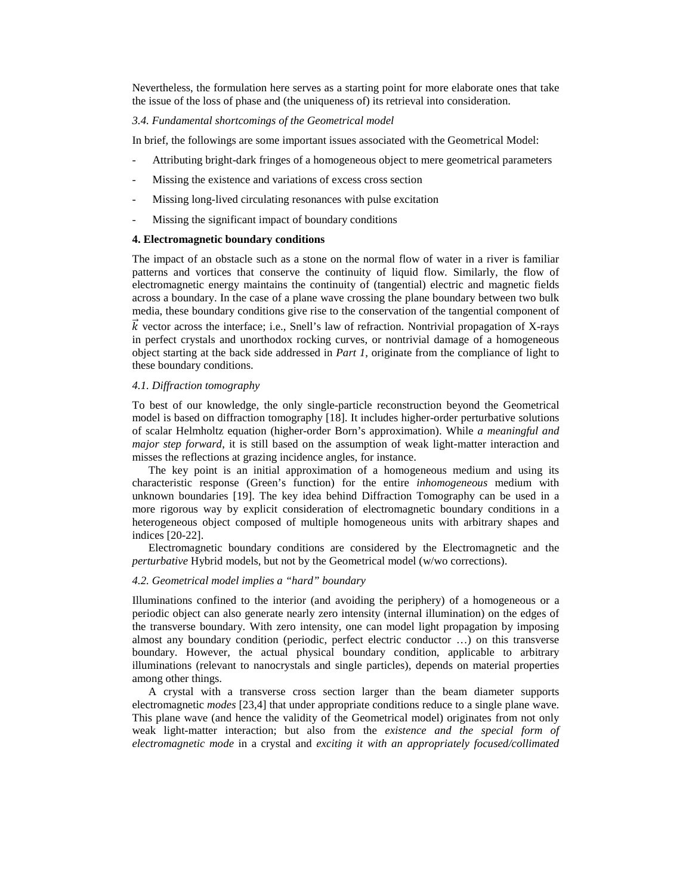Nevertheless, the formulation here serves as a starting point for more elaborate ones that take the issue of the loss of phase and (the uniqueness of) its retrieval into consideration.

#### *3.4. Fundamental shortcomings of the Geometrical model*

In brief, the followings are some important issues associated with the Geometrical Model:

- Attributing bright-dark fringes of a homogeneous object to mere geometrical parameters
- Missing the existence and variations of excess cross section
- Missing long-lived circulating resonances with pulse excitation
- Missing the significant impact of boundary conditions

## **4. Electromagnetic boundary conditions**

The impact of an obstacle such as a stone on the normal flow of water in a river is familiar patterns and vortices that conserve the continuity of liquid flow. Similarly, the flow of electromagnetic energy maintains the continuity of (tangential) electric and magnetic fields across a boundary. In the case of a plane wave crossing the plane boundary between two bulk media, these boundary conditions give rise to the conservation of the tangential component of

 $\vec{k}$  vector across the interface; i.e., Snell's law of refraction. Nontrivial propagation of X-rays in perfect crystals and unorthodox rocking curves, or nontrivial damage of a homogeneous object starting at the back side addressed in *Part 1*, originate from the compliance of light to these boundary conditions.

## *4.1. Diffraction tomography*

To best of our knowledge, the only single-particle reconstruction beyond the Geometrical model is based on diffraction tomography [18]. It includes higher-order perturbative solutions of scalar Helmholtz equation (higher-order Born's approximation). While *a meaningful and major step forward*, it is still based on the assumption of weak light-matter interaction and misses the reflections at grazing incidence angles, for instance.

The key point is an initial approximation of a homogeneous medium and using its characteristic response (Green's function) for the entire *inhomogeneous* medium with unknown boundaries [19]. The key idea behind Diffraction Tomography can be used in a more rigorous way by explicit consideration of electromagnetic boundary conditions in a heterogeneous object composed of multiple homogeneous units with arbitrary shapes and indices [20-22].

Electromagnetic boundary conditions are considered by the Electromagnetic and the *perturbative* Hybrid models, but not by the Geometrical model (w/wo corrections).

## *4.2. Geometrical model implies a "hard" boundary*

Illuminations confined to the interior (and avoiding the periphery) of a homogeneous or a periodic object can also generate nearly zero intensity (internal illumination) on the edges of the transverse boundary. With zero intensity, one can model light propagation by imposing almost any boundary condition (periodic, perfect electric conductor …) on this transverse boundary. However, the actual physical boundary condition, applicable to arbitrary illuminations (relevant to nanocrystals and single particles), depends on material properties among other things.

A crystal with a transverse cross section larger than the beam diameter supports electromagnetic *modes* [23,4] that under appropriate conditions reduce to a single plane wave. This plane wave (and hence the validity of the Geometrical model) originates from not only weak light-matter interaction; but also from the *existence and the special form of electromagnetic mode* in a crystal and *exciting it with an appropriately focused/collimated*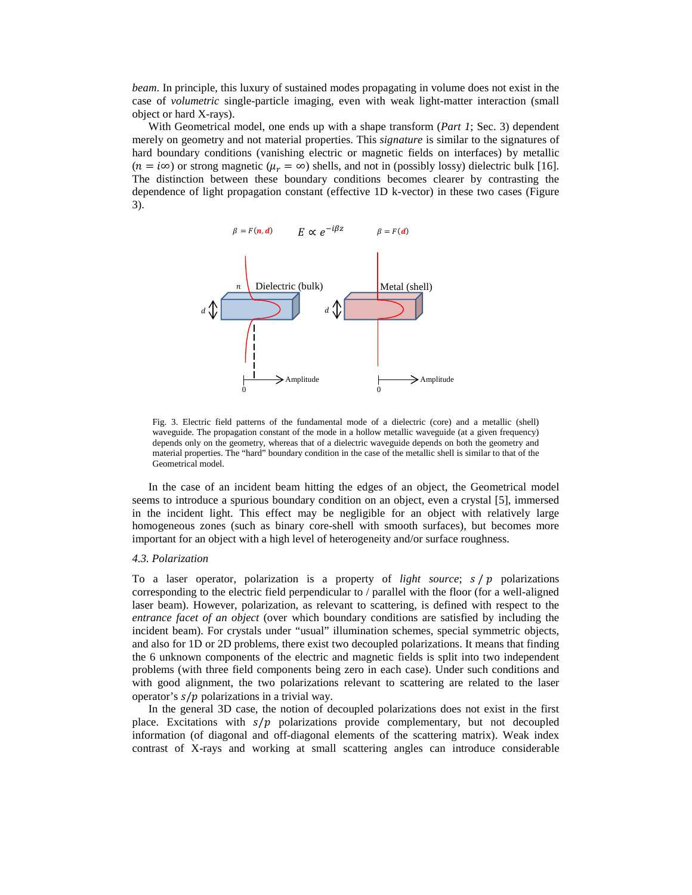*beam*. In principle, this luxury of sustained modes propagating in volume does not exist in the case of *volumetric* single-particle imaging, even with weak light-matter interaction (small object or hard X-rays).

With Geometrical model, one ends up with a shape transform (*Part 1*; Sec. 3) dependent merely on geometry and not material properties. This *signature* is similar to the signatures of hard boundary conditions (vanishing electric or magnetic fields on interfaces) by metallic  $(n = i\infty)$  or strong magnetic  $(\mu_r = \infty)$  shells, and not in (possibly lossy) dielectric bulk [16]. The distinction between these boundary conditions becomes clearer by contrasting the dependence of light propagation constant (effective 1D k-vector) in these two cases [\(Figure](#page-10-0) [3\)](#page-10-0).



<span id="page-10-0"></span>Fig. 3. Electric field patterns of the fundamental mode of a dielectric (core) and a metallic (shell) waveguide. The propagation constant of the mode in a hollow metallic waveguide (at a given frequency) depends only on the geometry, whereas that of a dielectric waveguide depends on both the geometry and material properties. The "hard" boundary condition in the case of the metallic shell is similar to that of the Geometrical model.

In the case of an incident beam hitting the edges of an object, the Geometrical model seems to introduce a spurious boundary condition on an object, even a crystal [5], immersed in the incident light. This effect may be negligible for an object with relatively large homogeneous zones (such as binary core-shell with smooth surfaces), but becomes more important for an object with a high level of heterogeneity and/or surface roughness.

## *4.3. Polarization*

To a laser operator, polarization is a property of *light source*;  $s/p$  polarizations corresponding to the electric field perpendicular to / parallel with the floor (for a well-aligned laser beam). However, polarization, as relevant to scattering, is defined with respect to the *entrance facet of an object* (over which boundary conditions are satisfied by including the incident beam). For crystals under "usual" illumination schemes, special symmetric objects, and also for 1D or 2D problems, there exist two decoupled polarizations. It means that finding the 6 unknown components of the electric and magnetic fields is split into two independent problems (with three field components being zero in each case). Under such conditions and with good alignment, the two polarizations relevant to scattering are related to the laser operator's  $s/p$  polarizations in a trivial way.

In the general 3D case, the notion of decoupled polarizations does not exist in the first place. Excitations with  $s/p$  polarizations provide complementary, but not decoupled information (of diagonal and off-diagonal elements of the scattering matrix). Weak index contrast of X-rays and working at small scattering angles can introduce considerable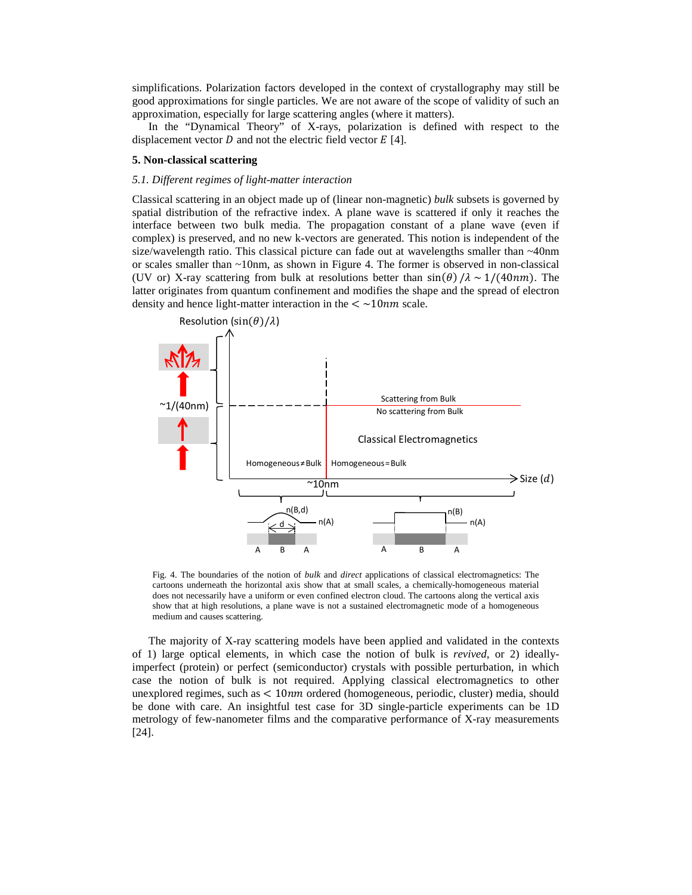simplifications. Polarization factors developed in the context of crystallography may still be good approximations for single particles. We are not aware of the scope of validity of such an approximation, especially for large scattering angles (where it matters).

In the "Dynamical Theory" of X-rays, polarization is defined with respect to the displacement vector  $D$  and not the electric field vector  $E$  [4].

## **5. Non-classical scattering**

## *5.1. Different regimes of light-matter interaction*

Classical scattering in an object made up of (linear non-magnetic) *bulk* subsets is governed by spatial distribution of the refractive index. A plane wave is scattered if only it reaches the interface between two bulk media. The propagation constant of a plane wave (even if complex) is preserved, and no new k-vectors are generated. This notion is independent of the size/wavelength ratio. This classical picture can fade out at wavelengths smaller than ~40nm or scales smaller than ~10nm, as shown in [Figure 4.](#page-11-0) The former is observed in non-classical (UV or) X-ray scattering from bulk at resolutions better than  $sin(\theta) / \lambda \sim 1/(40nm)$ . The latter originates from quantum confinement and modifies the shape and the spread of electron density and hence light-matter interaction in the  $\lt$  ~10nm scale.



<span id="page-11-0"></span>Fig. 4. The boundaries of the notion of *bulk* and *direct* applications of classical electromagnetics: The cartoons underneath the horizontal axis show that at small scales, a chemically-homogeneous material does not necessarily have a uniform or even confined electron cloud. The cartoons along the vertical axis show that at high resolutions, a plane wave is not a sustained electromagnetic mode of a homogeneous medium and causes scattering.

The majority of X-ray scattering models have been applied and validated in the contexts of 1) large optical elements, in which case the notion of bulk is *revived*, or 2) ideallyimperfect (protein) or perfect (semiconductor) crystals with possible perturbation, in which case the notion of bulk is not required. Applying classical electromagnetics to other unexplored regimes, such as  $\lt 10nm$  ordered (homogeneous, periodic, cluster) media, should be done with care. An insightful test case for 3D single-particle experiments can be 1D metrology of few-nanometer films and the comparative performance of X-ray measurements [24].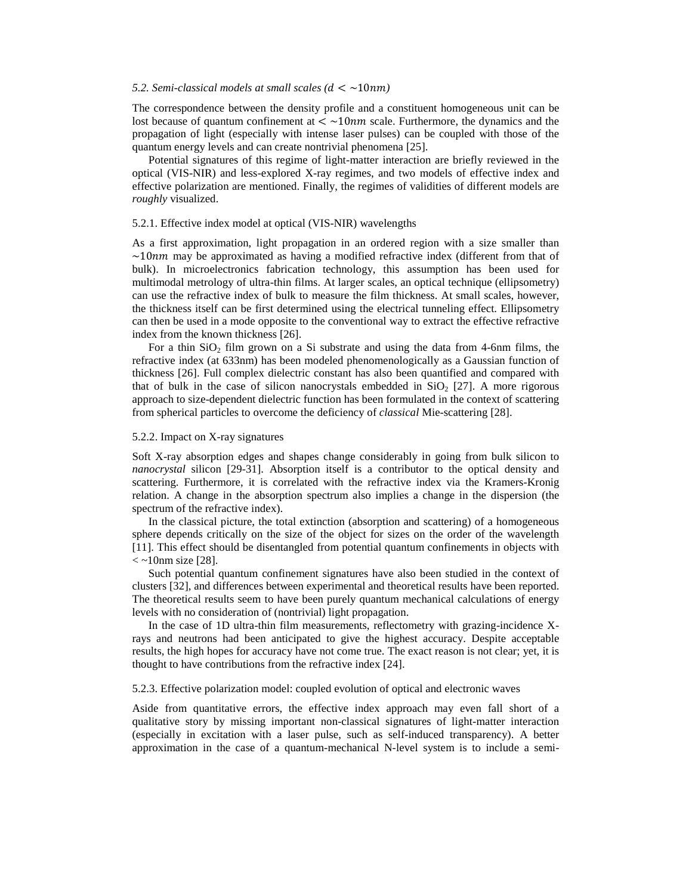## 5.2. Semi-classical models at small scales  $(d < \sim 10nm)$

The correspondence between the density profile and a constituent homogeneous unit can be lost because of quantum confinement at  $\lt \sim 10nm$  scale. Furthermore, the dynamics and the propagation of light (especially with intense laser pulses) can be coupled with those of the quantum energy levels and can create nontrivial phenomena [25].

Potential signatures of this regime of light-matter interaction are briefly reviewed in the optical (VIS-NIR) and less-explored X-ray regimes, and two models of effective index and effective polarization are mentioned. Finally, the regimes of validities of different models are *roughly* visualized.

## 5.2.1. Effective index model at optical (VIS-NIR) wavelengths

As a first approximation, light propagation in an ordered region with a size smaller than  $\sim$ 10 $nm$  may be approximated as having a modified refractive index (different from that of bulk). In microelectronics fabrication technology, this assumption has been used for multimodal metrology of ultra-thin films. At larger scales, an optical technique (ellipsometry) can use the refractive index of bulk to measure the film thickness. At small scales, however, the thickness itself can be first determined using the electrical tunneling effect. Ellipsometry can then be used in a mode opposite to the conventional way to extract the effective refractive index from the known thickness [26].

For a thin  $SiO<sub>2</sub>$  film grown on a Si substrate and using the data from 4-6nm films, the refractive index (at 633nm) has been modeled phenomenologically as a Gaussian function of thickness [26]. Full complex dielectric constant has also been quantified and compared with that of bulk in the case of silicon nanocrystals embedded in  $SiO<sub>2</sub>$  [27]. A more rigorous approach to size-dependent dielectric function has been formulated in the context of scattering from spherical particles to overcome the deficiency of *classical* Mie-scattering [28].

## 5.2.2. Impact on X-ray signatures

Soft X-ray absorption edges and shapes change considerably in going from bulk silicon to *nanocrystal* silicon [29-31]. Absorption itself is a contributor to the optical density and scattering. Furthermore, it is correlated with the refractive index via the Kramers-Kronig relation. A change in the absorption spectrum also implies a change in the dispersion (the spectrum of the refractive index).

In the classical picture, the total extinction (absorption and scattering) of a homogeneous sphere depends critically on the size of the object for sizes on the order of the wavelength [11]. This effect should be disentangled from potential quantum confinements in objects with  $\langle \sim 10$ nm size [28].

Such potential quantum confinement signatures have also been studied in the context of clusters [32], and differences between experimental and theoretical results have been reported. The theoretical results seem to have been purely quantum mechanical calculations of energy levels with no consideration of (nontrivial) light propagation.

In the case of 1D ultra-thin film measurements, reflectometry with grazing-incidence Xrays and neutrons had been anticipated to give the highest accuracy. Despite acceptable results, the high hopes for accuracy have not come true. The exact reason is not clear; yet, it is thought to have contributions from the refractive index [24].

## 5.2.3. Effective polarization model: coupled evolution of optical and electronic waves

Aside from quantitative errors, the effective index approach may even fall short of a qualitative story by missing important non-classical signatures of light-matter interaction (especially in excitation with a laser pulse, such as self-induced transparency). A better approximation in the case of a quantum-mechanical N-level system is to include a semi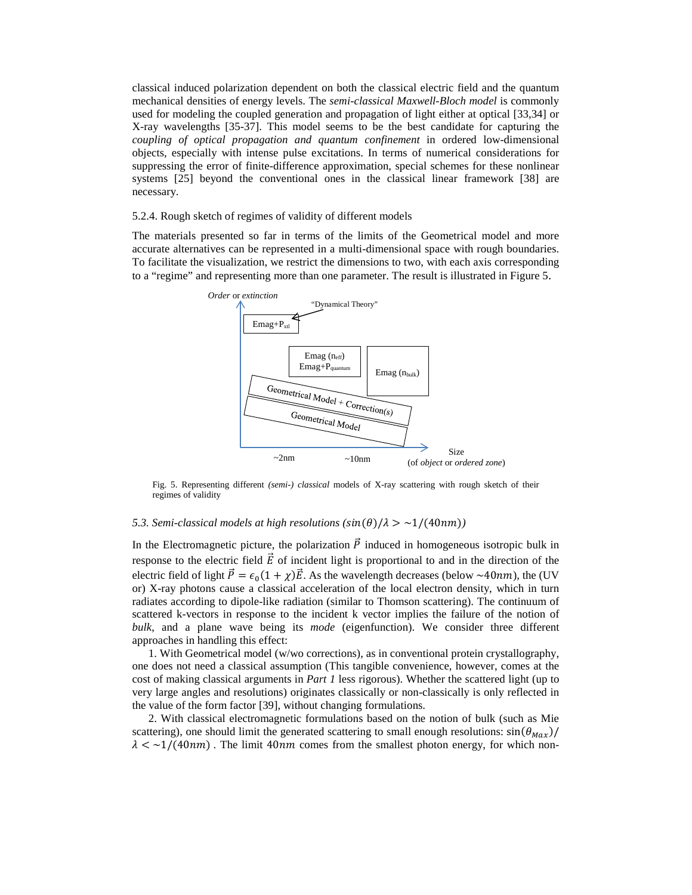classical induced polarization dependent on both the classical electric field and the quantum mechanical densities of energy levels. The *semi-classical Maxwell-Bloch model* is commonly used for modeling the coupled generation and propagation of light either at optical [33,34] or X-ray wavelengths [35-37]. This model seems to be the best candidate for capturing the *coupling of optical propagation and quantum confinement* in ordered low-dimensional objects, especially with intense pulse excitations. In terms of numerical considerations for suppressing the error of finite-difference approximation, special schemes for these nonlinear systems [25] beyond the conventional ones in the classical linear framework [38] are necessary.

## 5.2.4. Rough sketch of regimes of validity of different models

The materials presented so far in terms of the limits of the Geometrical model and more accurate alternatives can be represented in a multi-dimensional space with rough boundaries. To facilitate the visualization, we restrict the dimensions to two, with each axis corresponding to a "regime" and representing more than one parameter. The result is illustrated i[n Figure 5.](#page-13-0)



<span id="page-13-0"></span>Fig. 5. Representing different *(semi-) classical* models of X-ray scattering with rough sketch of their regimes of validity

## *5.3. Semi-classical models at high resolutions*  $(\sin(\theta)/\lambda > \frac{1}{40m})$

In the Electromagnetic picture, the polarization  $\vec{P}$  induced in homogeneous isotropic bulk in response to the electric field  $\vec{E}$  of incident light is proportional to and in the direction of the electric field of light  $\vec{P} = \epsilon_0(1 + \chi)\vec{E}$ . As the wavelength decreases (below ~40nm), the (UV or) X-ray photons cause a classical acceleration of the local electron density, which in turn radiates according to dipole-like radiation (similar to Thomson scattering). The continuum of scattered k-vectors in response to the incident k vector implies the failure of the notion of *bulk*, and a plane wave being its *mode* (eigenfunction). We consider three different approaches in handling this effect:

1. With Geometrical model (w/wo corrections), as in conventional protein crystallography, one does not need a classical assumption (This tangible convenience, however, comes at the cost of making classical arguments in *Part 1* less rigorous). Whether the scattered light (up to very large angles and resolutions) originates classically or non-classically is only reflected in the value of the form factor [39], without changing formulations.

2. With classical electromagnetic formulations based on the notion of bulk (such as Mie scattering), one should limit the generated scattering to small enough resolutions:  $\sin(\theta_{Max})/$  $\lambda < \frac{1}{40nm}$ . The limit 40nm comes from the smallest photon energy, for which non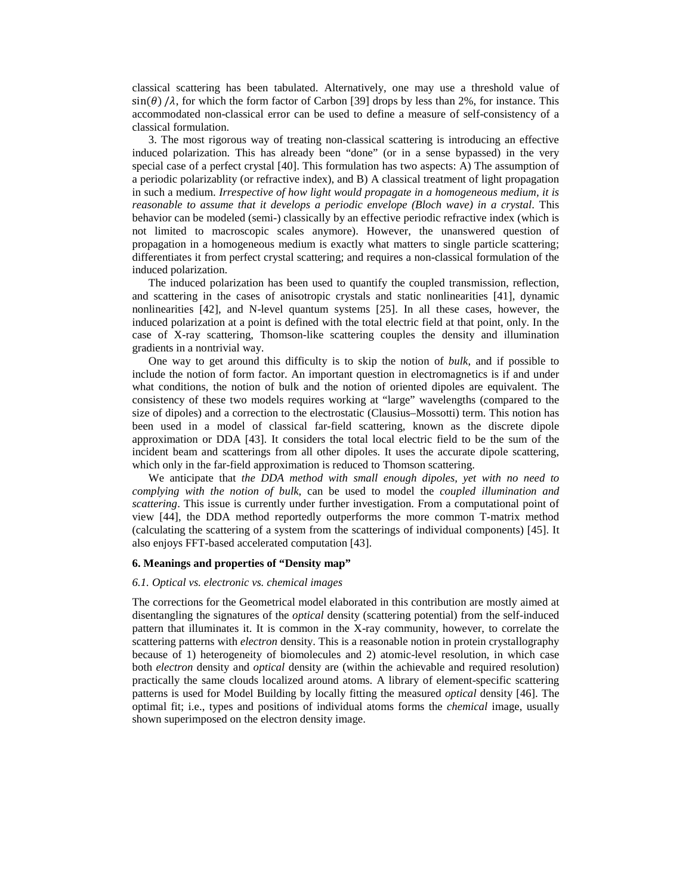classical scattering has been tabulated. Alternatively, one may use a threshold value of  $\sin(\theta)$  / $\lambda$ , for which the form factor of Carbon [39] drops by less than 2%, for instance. This accommodated non-classical error can be used to define a measure of self-consistency of a classical formulation.

3. The most rigorous way of treating non-classical scattering is introducing an effective induced polarization. This has already been "done" (or in a sense bypassed) in the very special case of a perfect crystal [40]. This formulation has two aspects: A) The assumption of a periodic polarizablity (or refractive index), and B) A classical treatment of light propagation in such a medium. *Irrespective of how light would propagate in a homogeneous medium, it is reasonable to assume that it develops a periodic envelope (Bloch wave) in a crystal*. This behavior can be modeled (semi-) classically by an effective periodic refractive index (which is not limited to macroscopic scales anymore). However, the unanswered question of propagation in a homogeneous medium is exactly what matters to single particle scattering; differentiates it from perfect crystal scattering; and requires a non-classical formulation of the induced polarization.

The induced polarization has been used to quantify the coupled transmission, reflection, and scattering in the cases of anisotropic crystals and static nonlinearities [41], dynamic nonlinearities [42], and N-level quantum systems [25]. In all these cases, however, the induced polarization at a point is defined with the total electric field at that point, only. In the case of X-ray scattering, Thomson-like scattering couples the density and illumination gradients in a nontrivial way.

One way to get around this difficulty is to skip the notion of *bulk*, and if possible to include the notion of form factor. An important question in electromagnetics is if and under what conditions, the notion of bulk and the notion of oriented dipoles are equivalent. The consistency of these two models requires working at "large" wavelengths (compared to the size of dipoles) and a correction to the electrostatic (Clausius–Mossotti) term. This notion has been used in a model of classical far-field scattering, known as the discrete dipole approximation or DDA [43]. It considers the total local electric field to be the sum of the incident beam and scatterings from all other dipoles. It uses the accurate dipole scattering, which only in the far-field approximation is reduced to Thomson scattering.

We anticipate that *the DDA method with small enough dipoles, yet with no need to complying with the notion of bulk*, can be used to model the *coupled illumination and scattering*. This issue is currently under further investigation. From a computational point of view [44], the DDA method reportedly outperforms the more common T-matrix method (calculating the scattering of a system from the scatterings of individual components) [45]. It also enjoys FFT-based accelerated computation [43].

#### **6. Meanings and properties of "Density map"**

#### *6.1. Optical vs. electronic vs. chemical images*

The corrections for the Geometrical model elaborated in this contribution are mostly aimed at disentangling the signatures of the *optical* density (scattering potential) from the self-induced pattern that illuminates it. It is common in the X-ray community, however, to correlate the scattering patterns with *electron* density. This is a reasonable notion in protein crystallography because of 1) heterogeneity of biomolecules and 2) atomic-level resolution, in which case both *electron* density and *optical* density are (within the achievable and required resolution) practically the same clouds localized around atoms. A library of element-specific scattering patterns is used for Model Building by locally fitting the measured *optical* density [46]. The optimal fit; i.e., types and positions of individual atoms forms the *chemical* image, usually shown superimposed on the electron density image.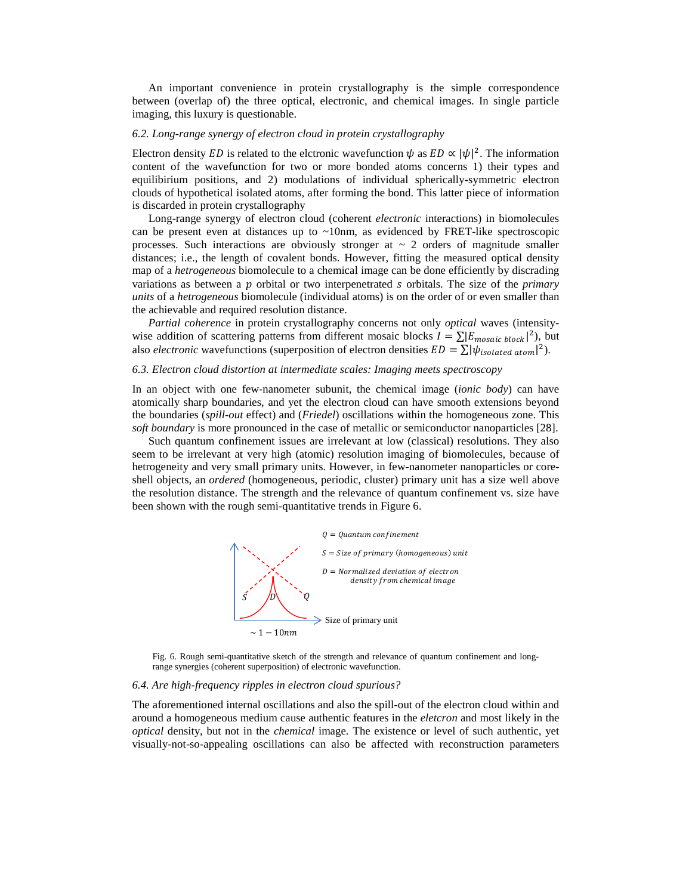An important convenience in protein crystallography is the simple correspondence between (overlap of) the three optical, electronic, and chemical images. In single particle imaging, this luxury is questionable.

#### *6.2. Long-range synergy of electron cloud in protein crystallography*

Electron density *ED* is related to the elctronic wavefunction  $\psi$  as  $ED \propto |\psi|^2$ . The information content of the wavefunction for two or more bonded atoms concerns 1) their types and equilibirium positions, and 2) modulations of individual spherically-symmetric electron clouds of hypothetical isolated atoms, after forming the bond. This latter piece of information is discarded in protein crystallography

Long-range synergy of electron cloud (coherent *electronic* interactions) in biomolecules can be present even at distances up to  $\sim$ 10nm, as evidenced by FRET-like spectroscopic processes. Such interactions are obviously stronger at  $\sim$  2 orders of magnitude smaller distances; i.e., the length of covalent bonds. However, fitting the measured optical density map of a *hetrogeneous* biomolecule to a chemical image can be done efficiently by discrading variations as between a  $p$  orbital or two interpenetrated  $s$  orbitals. The size of the *primary units* of a *hetrogeneous* biomolecule (individual atoms) is on the order of or even smaller than the achievable and required resolution distance.

*Partial coherence* in protein crystallography concerns not only *optical* waves (intensitywise addition of scattering patterns from different mosaic blocks  $I = \sum |E_{mosaic block}|^2$ , but also *electronic* wavefunctions (superposition of electron densities  $ED = \sum |\psi_{isolated\ atom}|^2$ ).

## *6.3. Electron cloud distortion at intermediate scales: Imaging meets spectroscopy*

In an object with one few-nanometer subunit, the chemical image (*ionic body*) can have atomically sharp boundaries, and yet the electron cloud can have smooth extensions beyond the boundaries (*spill-out* effect) and (*Friedel*) oscillations within the homogeneous zone. This *soft boundary* is more pronounced in the case of metallic or semiconductor nanoparticles [28].

Such quantum confinement issues are irrelevant at low (classical) resolutions. They also seem to be irrelevant at very high (atomic) resolution imaging of biomolecules, because of hetrogeneity and very small primary units. However, in few-nanometer nanoparticles or coreshell objects, an *ordered* (homogeneous, periodic, cluster) primary unit has a size well above the resolution distance. The strength and the relevance of quantum confinement vs. size have been shown with the rough semi-quantitative trends in [Figure 6.](#page-15-0)



<span id="page-15-0"></span>Fig. 6. Rough semi-quantitative sketch of the strength and relevance of quantum confinement and longrange synergies (coherent superposition) of electronic wavefunction.

#### *6.4. Are high-frequency ripples in electron cloud spurious?*

The aforementioned internal oscillations and also the spill-out of the electron cloud within and around a homogeneous medium cause authentic features in the *eletcron* and most likely in the *optical* density, but not in the *chemical* image. The existence or level of such authentic, yet visually-not-so-appealing oscillations can also be affected with reconstruction parameters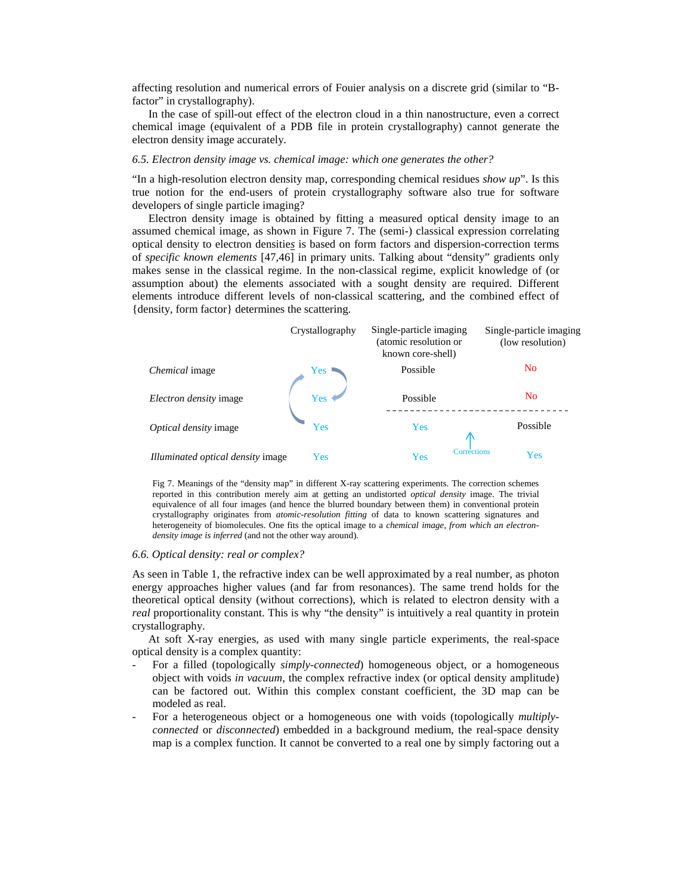affecting resolution and numerical errors of Fouier analysis on a discrete grid (similar to "Bfactor" in crystallography).

In the case of spill-out effect of the electron cloud in a thin nanostructure, even a correct chemical image (equivalent of a PDB file in protein crystallography) cannot generate the electron density image accurately.

## *6.5. Electron density image vs. chemical image: which one generates the other?*

"In a high-resolution electron density map, corresponding chemical residues *show up*". Is this true notion for the end-users of protein crystallography software also true for software developers of single particle imaging?

Electron density image is obtained by fitting a measured optical density image to an assumed chemical image, as shown in [Figure 7.](#page-16-0) The (semi-) classical expression correlating optical density to electron densitie*s* is based on form factors and dispersion-correction terms of *specific known elements* [47,46] in primary units. Talking about "density" gradients only makes sense in the classical regime. In the non-classical regime, explicit knowledge of (or assumption about) the elements associated with a sought density are required. Different elements introduce different levels of non-classical scattering, and the combined effect of {density, form factor} determines the scattering.



<span id="page-16-0"></span>Fig 7. Meanings of the "density map" in different X-ray scattering experiments. The correction schemes reported in this contribution merely aim at getting an undistorted *optical density* image. The trivial equivalence of all four images (and hence the blurred boundary between them) in conventional protein crystallography originates from *atomic-resolution fitting* of data to known scattering signatures and heterogeneity of biomolecules. One fits the optical image to a *chemical image, from which an electrondensity image is inferred* (and not the other way around).

## *6.6. Optical density: real or complex?*

As seen in [Table 1,](#page-4-0) the refractive index can be well approximated by a real number, as photon energy approaches higher values (and far from resonances). The same trend holds for the theoretical optical density (without corrections), which is related to electron density with a *real* proportionality constant. This is why "the density" is intuitively a real quantity in protein crystallography.

At soft X-ray energies, as used with many single particle experiments, the real-space optical density is a complex quantity:

- For a filled (topologically *simply-connected*) homogeneous object, or a homogeneous object with voids *in vacuum*, the complex refractive index (or optical density amplitude) can be factored out. Within this complex constant coefficient, the 3D map can be modeled as real.
- For a heterogeneous object or a homogeneous one with voids (topologically *multiplyconnected* or *disconnected*) embedded in a background medium, the real-space density map is a complex function. It cannot be converted to a real one by simply factoring out a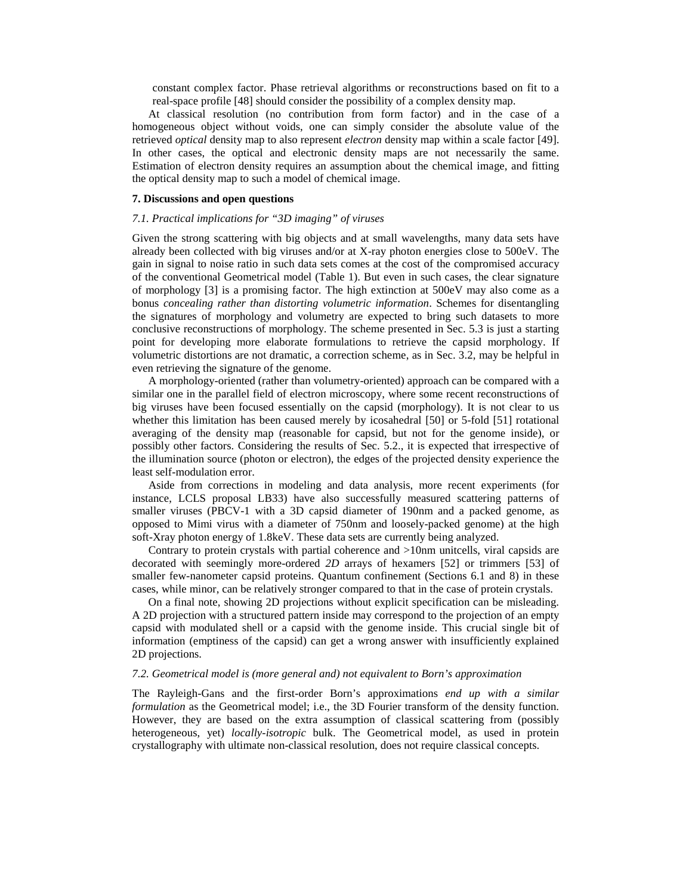constant complex factor. Phase retrieval algorithms or reconstructions based on fit to a real-space profile [48] should consider the possibility of a complex density map.

At classical resolution (no contribution from form factor) and in the case of a homogeneous object without voids, one can simply consider the absolute value of the retrieved *optical* density map to also represent *electron* density map within a scale factor [49]. In other cases, the optical and electronic density maps are not necessarily the same. Estimation of electron density requires an assumption about the chemical image, and fitting the optical density map to such a model of chemical image.

## **7. Discussions and open questions**

## *7.1. Practical implications for "3D imaging" of viruses*

Given the strong scattering with big objects and at small wavelengths, many data sets have already been collected with big viruses and/or at X-ray photon energies close to 500eV. The gain in signal to noise ratio in such data sets comes at the cost of the compromised accuracy of the conventional Geometrical model [\(Table 1\)](#page-4-0). But even in such cases, the clear signature of morphology [3] is a promising factor. The high extinction at 500eV may also come as a bonus *concealing rather than distorting volumetric information*. Schemes for disentangling the signatures of morphology and volumetry are expected to bring such datasets to more conclusive reconstructions of morphology. The scheme presented in Sec. 5.3 is just a starting point for developing more elaborate formulations to retrieve the capsid morphology. If volumetric distortions are not dramatic, a correction scheme, as in Sec. 3.2, may be helpful in even retrieving the signature of the genome.

A morphology-oriented (rather than volumetry-oriented) approach can be compared with a similar one in the parallel field of electron microscopy, where some recent reconstructions of big viruses have been focused essentially on the capsid (morphology). It is not clear to us whether this limitation has been caused merely by icosahedral [50] or 5-fold [51] rotational averaging of the density map (reasonable for capsid, but not for the genome inside), or possibly other factors. Considering the results of Sec. 5.2., it is expected that irrespective of the illumination source (photon or electron), the edges of the projected density experience the least self-modulation error.

Aside from corrections in modeling and data analysis, more recent experiments (for instance, LCLS proposal LB33) have also successfully measured scattering patterns of smaller viruses (PBCV-1 with a 3D capsid diameter of 190nm and a packed genome, as opposed to Mimi virus with a diameter of 750nm and loosely-packed genome) at the high soft-Xray photon energy of 1.8keV. These data sets are currently being analyzed.

Contrary to protein crystals with partial coherence and >10nm unitcells, viral capsids are decorated with seemingly more-ordered *2D* arrays of hexamers [52] or trimmers [53] of smaller few-nanometer capsid proteins. Quantum confinement (Sections 6.1 and 8) in these cases, while minor, can be relatively stronger compared to that in the case of protein crystals.

On a final note, showing 2D projections without explicit specification can be misleading. A 2D projection with a structured pattern inside may correspond to the projection of an empty capsid with modulated shell or a capsid with the genome inside. This crucial single bit of information (emptiness of the capsid) can get a wrong answer with insufficiently explained 2D projections.

#### *7.2. Geometrical model is (more general and) not equivalent to Born's approximation*

The Rayleigh-Gans and the first-order Born's approximations *end up with a similar formulation* as the Geometrical model; i.e., the 3D Fourier transform of the density function. However, they are based on the extra assumption of classical scattering from (possibly heterogeneous, yet) *locally-isotropic* bulk. The Geometrical model, as used in protein crystallography with ultimate non-classical resolution, does not require classical concepts.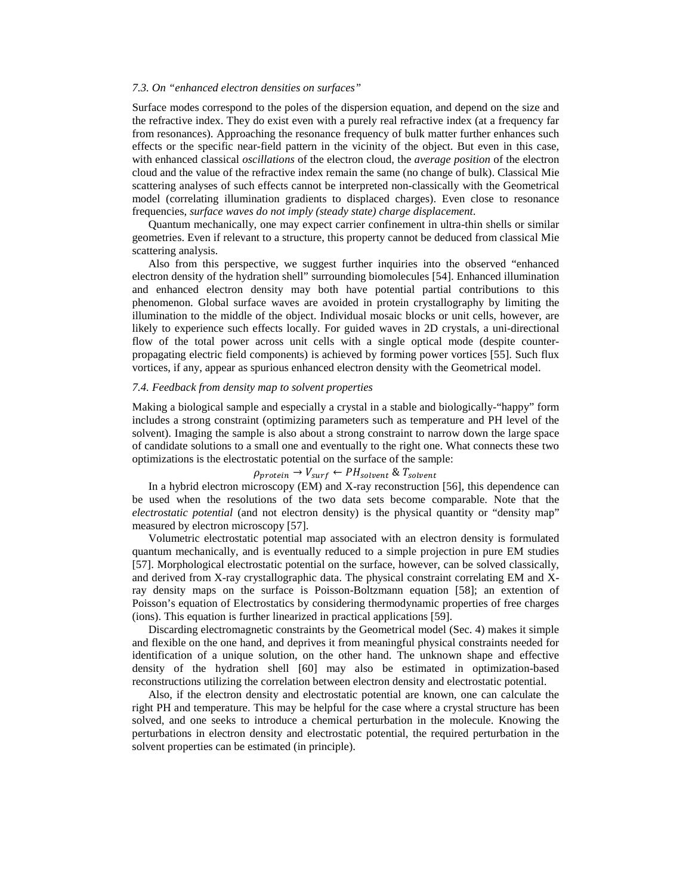## *7.3. On "enhanced electron densities on surfaces"*

Surface modes correspond to the poles of the dispersion equation, and depend on the size and the refractive index. They do exist even with a purely real refractive index (at a frequency far from resonances). Approaching the resonance frequency of bulk matter further enhances such effects or the specific near-field pattern in the vicinity of the object. But even in this case, with enhanced classical *oscillations* of the electron cloud, the *average position* of the electron cloud and the value of the refractive index remain the same (no change of bulk). Classical Mie scattering analyses of such effects cannot be interpreted non-classically with the Geometrical model (correlating illumination gradients to displaced charges). Even close to resonance frequencies, *surface waves do not imply (steady state) charge displacement*.

Quantum mechanically, one may expect carrier confinement in ultra-thin shells or similar geometries. Even if relevant to a structure, this property cannot be deduced from classical Mie scattering analysis.

Also from this perspective, we suggest further inquiries into the observed "enhanced electron density of the hydration shell" surrounding biomolecules [54]. Enhanced illumination and enhanced electron density may both have potential partial contributions to this phenomenon. Global surface waves are avoided in protein crystallography by limiting the illumination to the middle of the object. Individual mosaic blocks or unit cells, however, are likely to experience such effects locally. For guided waves in 2D crystals, a uni-directional flow of the total power across unit cells with a single optical mode (despite counterpropagating electric field components) is achieved by forming power vortices [55]. Such flux vortices, if any, appear as spurious enhanced electron density with the Geometrical model.

## *7.4. Feedback from density map to solvent properties*

Making a biological sample and especially a crystal in a stable and biologically-"happy" form includes a strong constraint (optimizing parameters such as temperature and PH level of the solvent). Imaging the sample is also about a strong constraint to narrow down the large space of candidate solutions to a small one and eventually to the right one. What connects these two optimizations is the electrostatic potential on the surface of the sample:

# $\rho_{protein} \rightarrow V_{surf} \leftarrow PH_{solvent} \& T_{solvent}$

In a hybrid electron microscopy (EM) and X-ray reconstruction [56], this dependence can be used when the resolutions of the two data sets become comparable. Note that the *electrostatic potential* (and not electron density) is the physical quantity or "density map" measured by electron microscopy [57].

Volumetric electrostatic potential map associated with an electron density is formulated quantum mechanically, and is eventually reduced to a simple projection in pure EM studies [57]. Morphological electrostatic potential on the surface, however, can be solved classically, and derived from X-ray crystallographic data. The physical constraint correlating EM and Xray density maps on the surface is Poisson-Boltzmann equation [58]; an extention of Poisson's equation of Electrostatics by considering thermodynamic properties of free charges (ions). This equation is further linearized in practical applications [59].

Discarding electromagnetic constraints by the Geometrical model (Sec. 4) makes it simple and flexible on the one hand, and deprives it from meaningful physical constraints needed for identification of a unique solution, on the other hand. The unknown shape and effective density of the hydration shell [60] may also be estimated in optimization-based reconstructions utilizing the correlation between electron density and electrostatic potential.

Also, if the electron density and electrostatic potential are known, one can calculate the right PH and temperature. This may be helpful for the case where a crystal structure has been solved, and one seeks to introduce a chemical perturbation in the molecule. Knowing the perturbations in electron density and electrostatic potential, the required perturbation in the solvent properties can be estimated (in principle).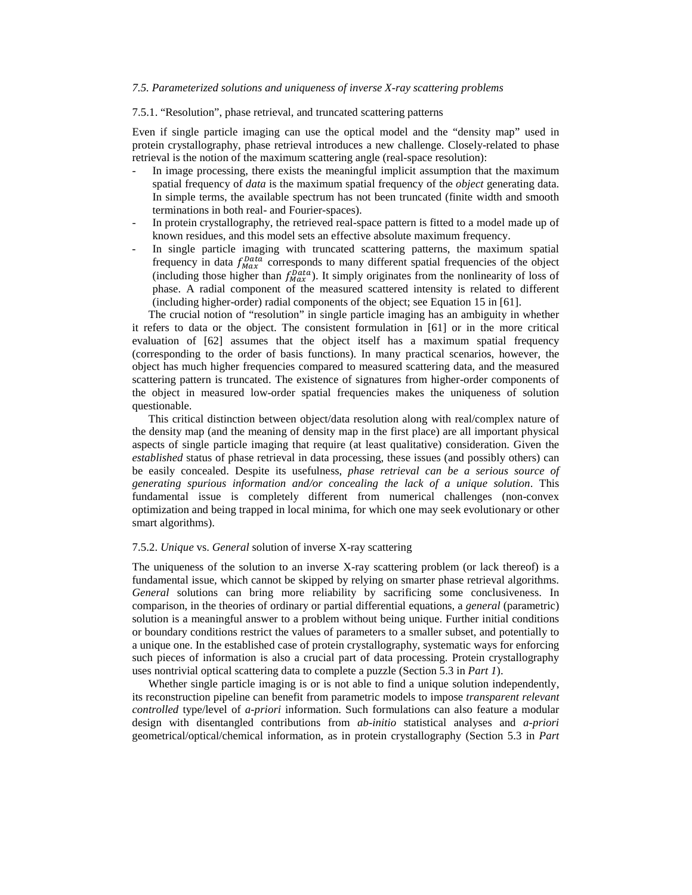## *7.5. Parameterized solutions and uniqueness of inverse X-ray scattering problems*

## 7.5.1. "Resolution", phase retrieval, and truncated scattering patterns

Even if single particle imaging can use the optical model and the "density map" used in protein crystallography, phase retrieval introduces a new challenge. Closely-related to phase retrieval is the notion of the maximum scattering angle (real-space resolution):

- In image processing, there exists the meaningful implicit assumption that the maximum spatial frequency of *data* is the maximum spatial frequency of the *object* generating data. In simple terms, the available spectrum has not been truncated (finite width and smooth terminations in both real- and Fourier-spaces).
- In protein crystallography, the retrieved real-space pattern is fitted to a model made up of known residues, and this model sets an effective absolute maximum frequency.
- In single particle imaging with truncated scattering patterns, the maximum spatial frequency in data  $f_{Max}^{Data}$  corresponds to many different spatial frequencies of the object (including those higher than  $f_{Max}^{Data}$ ). It simply originates from the nonlinearity of loss of phase. A radial component of the measured scattered intensity is related to different (including higher-order) radial components of the object; see Equation 15 in [61].

The crucial notion of "resolution" in single particle imaging has an ambiguity in whether it refers to data or the object. The consistent formulation in [61] or in the more critical evaluation of [62] assumes that the object itself has a maximum spatial frequency (corresponding to the order of basis functions). In many practical scenarios, however, the object has much higher frequencies compared to measured scattering data, and the measured scattering pattern is truncated. The existence of signatures from higher-order components of the object in measured low-order spatial frequencies makes the uniqueness of solution questionable.

This critical distinction between object/data resolution along with real/complex nature of the density map (and the meaning of density map in the first place) are all important physical aspects of single particle imaging that require (at least qualitative) consideration. Given the *established* status of phase retrieval in data processing, these issues (and possibly others) can be easily concealed. Despite its usefulness, *phase retrieval can be a serious source of generating spurious information and/or concealing the lack of a unique solution*. This fundamental issue is completely different from numerical challenges (non-convex optimization and being trapped in local minima, for which one may seek evolutionary or other smart algorithms).

## 7.5.2. *Unique* vs. *General* solution of inverse X-ray scattering

The uniqueness of the solution to an inverse X-ray scattering problem (or lack thereof) is a fundamental issue, which cannot be skipped by relying on smarter phase retrieval algorithms. *General* solutions can bring more reliability by sacrificing some conclusiveness. In comparison, in the theories of ordinary or partial differential equations, a *general* (parametric) solution is a meaningful answer to a problem without being unique. Further initial conditions or boundary conditions restrict the values of parameters to a smaller subset, and potentially to a unique one. In the established case of protein crystallography, systematic ways for enforcing such pieces of information is also a crucial part of data processing. Protein crystallography uses nontrivial optical scattering data to complete a puzzle (Section 5.3 in *Part 1*).

Whether single particle imaging is or is not able to find a unique solution independently, its reconstruction pipeline can benefit from parametric models to impose *transparent relevant controlled* type/level of *a-priori* information. Such formulations can also feature a modular design with disentangled contributions from *ab-initio* statistical analyses and *a-priori* geometrical/optical/chemical information, as in protein crystallography (Section 5.3 in *Part*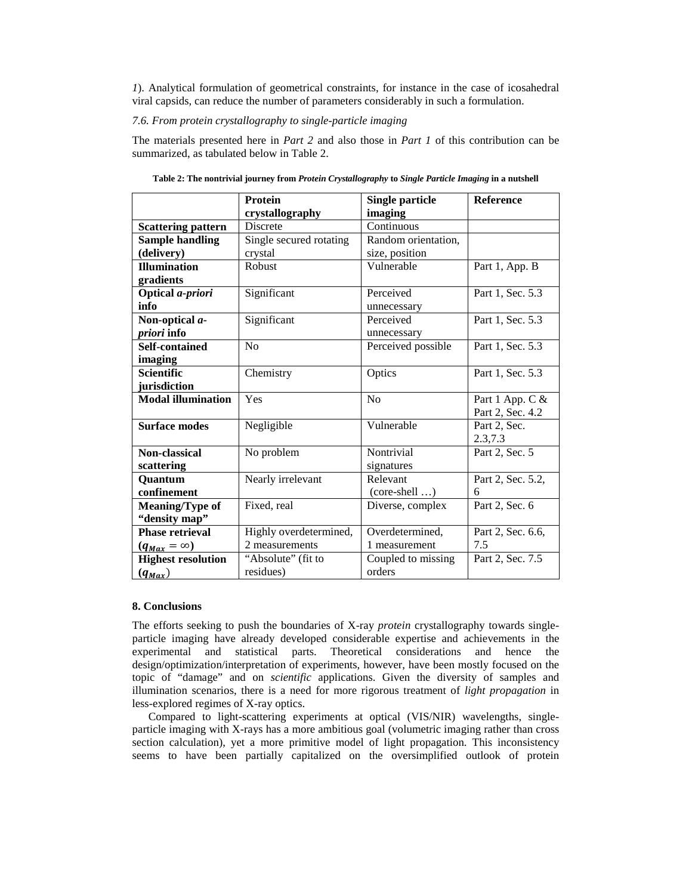*1*). Analytical formulation of geometrical constraints, for instance in the case of icosahedral viral capsids, can reduce the number of parameters considerably in such a formulation.

## *7.6. From protein crystallography to single-particle imaging*

<span id="page-20-0"></span>The materials presented here in *Part 2* and also those in *Part 1* of this contribution can be summarized, as tabulated below in [Table 2.](#page-20-0)

|                           | <b>Protein</b>          | <b>Single particle</b> | <b>Reference</b>  |
|---------------------------|-------------------------|------------------------|-------------------|
|                           | crystallography         | imaging                |                   |
| <b>Scattering pattern</b> | <b>Discrete</b>         | Continuous             |                   |
| <b>Sample handling</b>    | Single secured rotating | Random orientation,    |                   |
| (delivery)                | crystal                 | size, position         |                   |
| <b>Illumination</b>       | Robust                  | Vulnerable             | Part 1, App. B    |
| gradients                 |                         |                        |                   |
| Optical a-priori          | Significant             | Perceived              | Part 1, Sec. 5.3  |
| info                      |                         | unnecessary            |                   |
| Non-optical a-            | Significant             | Perceived              | Part 1, Sec. 5.3  |
| priori info               |                         | unnecessary            |                   |
| <b>Self-contained</b>     | No                      | Perceived possible     | Part 1, Sec. 5.3  |
| imaging                   |                         |                        |                   |
| <b>Scientific</b>         | Chemistry               | Optics                 | Part 1, Sec. 5.3  |
| jurisdiction              |                         |                        |                   |
| <b>Modal illumination</b> | Yes                     | No                     | Part 1 App. C &   |
|                           |                         |                        | Part 2, Sec. 4.2  |
| <b>Surface modes</b>      | Negligible              | Vulnerable             | Part 2, Sec.      |
|                           |                         |                        | 2.3,7.3           |
| Non-classical             | No problem              | Nontrivial             | Part 2, Sec. 5    |
| scattering                |                         | signatures             |                   |
| Quantum                   | Nearly irrelevant       | Relevant               | Part 2, Sec. 5.2, |
| confinement               |                         | $(core-shell )$        | 6                 |
| <b>Meaning/Type of</b>    | Fixed, real             | Diverse, complex       | Part 2, Sec. 6    |
| "density map"             |                         |                        |                   |
| <b>Phase retrieval</b>    | Highly overdetermined,  | Overdetermined,        | Part 2, Sec. 6.6, |
| $(q_{Max} = \infty)$      | 2 measurements          | 1 measurement          | 7.5               |
| <b>Highest resolution</b> | "Absolute" (fit to      | Coupled to missing     | Part 2, Sec. 7.5  |
| $(q_{Max})$               | residues)               | orders                 |                   |

**Table 2: The nontrivial journey from** *Protein Crystallography* **to** *Single Particle Imaging* **in a nutshell**

# **8. Conclusions**

The efforts seeking to push the boundaries of X-ray *protein* crystallography towards singleparticle imaging have already developed considerable expertise and achievements in the experimental and statistical parts. Theoretical considerations and hence the design/optimization/interpretation of experiments, however, have been mostly focused on the topic of "damage" and on *scientific* applications. Given the diversity of samples and illumination scenarios, there is a need for more rigorous treatment of *light propagation* in less-explored regimes of X-ray optics.

Compared to light-scattering experiments at optical (VIS/NIR) wavelengths, singleparticle imaging with X-rays has a more ambitious goal (volumetric imaging rather than cross section calculation), yet a more primitive model of light propagation. This inconsistency seems to have been partially capitalized on the oversimplified outlook of protein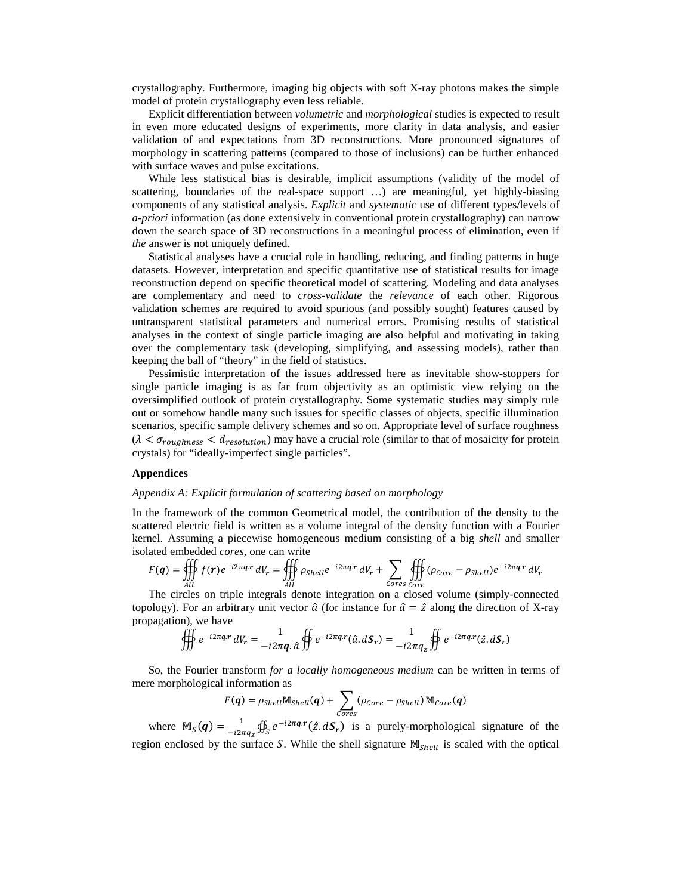crystallography. Furthermore, imaging big objects with soft X-ray photons makes the simple model of protein crystallography even less reliable.

Explicit differentiation between *volumetric* and *morphological* studies is expected to result in even more educated designs of experiments, more clarity in data analysis, and easier validation of and expectations from 3D reconstructions. More pronounced signatures of morphology in scattering patterns (compared to those of inclusions) can be further enhanced with surface waves and pulse excitations.

While less statistical bias is desirable, implicit assumptions (validity of the model of scattering, boundaries of the real-space support …) are meaningful, yet highly-biasing components of any statistical analysis. *Explicit* and *systematic* use of different types/levels of *a-priori* information (as done extensively in conventional protein crystallography) can narrow down the search space of 3D reconstructions in a meaningful process of elimination, even if *the* answer is not uniquely defined.

Statistical analyses have a crucial role in handling, reducing, and finding patterns in huge datasets. However, interpretation and specific quantitative use of statistical results for image reconstruction depend on specific theoretical model of scattering. Modeling and data analyses are complementary and need to *cross-validate* the *relevance* of each other. Rigorous validation schemes are required to avoid spurious (and possibly sought) features caused by untransparent statistical parameters and numerical errors. Promising results of statistical analyses in the context of single particle imaging are also helpful and motivating in taking over the complementary task (developing, simplifying, and assessing models), rather than keeping the ball of "theory" in the field of statistics.

Pessimistic interpretation of the issues addressed here as inevitable show-stoppers for single particle imaging is as far from objectivity as an optimistic view relying on the oversimplified outlook of protein crystallography. Some systematic studies may simply rule out or somehow handle many such issues for specific classes of objects, specific illumination scenarios, specific sample delivery schemes and so on. Appropriate level of surface roughness  $(\lambda < \sigma_{roughness} < d_{resolution})$  may have a crucial role (similar to that of mosaicity for protein crystals) for "ideally-imperfect single particles".

#### **Appendices**

#### *Appendix A: Explicit formulation of scattering based on morphology*

In the framework of the common Geometrical model, the contribution of the density to the scattered electric field is written as a volume integral of the density function with a Fourier kernel. Assuming a piecewise homogeneous medium consisting of a big *shell* and smaller isolated embedded *cores*, one can write

$$
F(\boldsymbol{q}) = \iiint\limits_{All} f(\boldsymbol{r}) e^{-i2\pi \boldsymbol{q} \cdot \boldsymbol{r}} dV_{\boldsymbol{r}} = \iiint\limits_{All} \rho_{Shell} e^{-i2\pi \boldsymbol{q} \cdot \boldsymbol{r}} dV_{\boldsymbol{r}} + \sum_{Cores \; Core} \iiint\limits_{Core} (\rho_{Core} - \rho_{Shell}) e^{-i2\pi \boldsymbol{q} \cdot \boldsymbol{r}} dV_{\boldsymbol{r}}
$$

All Cores Core<br>The circles on triple integrals denote integration on a closed volume (simply-connected topology). For an arbitrary unit vector  $\hat{a}$  (for instance for  $\hat{a} = \hat{z}$  along the direction of X-ray propagation), we have

$$
\oiint e^{-i2\pi\boldsymbol{q} \cdot \boldsymbol{r}} dV_r = \frac{1}{-i2\pi\boldsymbol{q} \cdot \hat{a}} \oiint e^{-i2\pi\boldsymbol{q} \cdot \boldsymbol{r}} (\hat{a} \cdot d\boldsymbol{S}_r) = \frac{1}{-i2\pi q_z} \oiint e^{-i2\pi\boldsymbol{q} \cdot \boldsymbol{r}} (\hat{z} \cdot d\boldsymbol{S}_r)
$$

So, the Fourier transform *for a locally homogeneous medium* can be written in terms of mere morphological information as

$$
F(\boldsymbol{q}) = \rho_{Shell} \mathbb{M}_{Shell}(\boldsymbol{q}) + \sum_{Cores} (\rho_{Core} - \rho_{Shell}) \mathbb{M}_{Core}(\boldsymbol{q})
$$

where  $M_S(q) = \frac{1}{-i2\pi q_z} \oint_S e^{-i2\pi qr \cdot r} (\hat{z}, dS_r)$  is a purely-morphological signature of the region enclosed by the surface S. While the shell signature  $M_{Shell}$  is scaled with the optical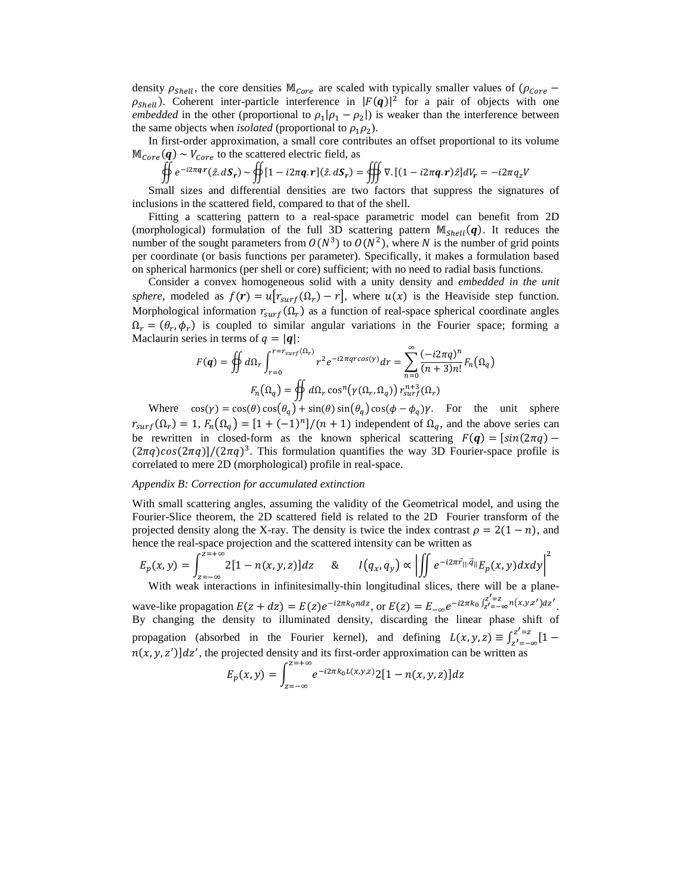density  $\rho_{shell}$ , the core densities  $M_{Core}$  are scaled with typically smaller values of ( $\rho_{core}$  –  $\rho_{shell}$ ). Coherent inter-particle interference in  $|F(q)|^2$  for a pair of objects with one *embedded* in the other (proportional to  $\rho_1|\rho_1 - \rho_2|$ ) is weaker than the interference between the same objects when *isolated* (proportional to  $\rho_1 \rho_2$ ).

In first-order approximation, a small core contributes an offset proportional to its volume  $\mathbb{M}_{Core}(\boldsymbol{q}) \sim V_{Core}$  to the scattered electric field, as

$$
\oiint e^{-i2\pi\boldsymbol{q}\cdot\mathbf{r}}(\hat{z},d\boldsymbol{S}_r) \sim \oiint [1 - i2\pi\boldsymbol{q}\cdot\mathbf{r}](\hat{z},d\boldsymbol{S}_r) = \oiint \nabla \cdot [(1 - i2\pi\boldsymbol{q}\cdot\mathbf{r})\hat{z}]dV_r = -i2\pi q_z V
$$

Small sizes and differential densities are two factors that suppress the signatures of inclusions in the scattered field, compared to that of the shell.

Fitting a scattering pattern to a real-space parametric model can benefit from 2D (morphological) formulation of the full 3D scattering pattern  $M_{Shell}(q)$ . It reduces the number of the sought parameters from  $O(N^3)$  to  $O(N^2)$ , where N is the number of grid points per coordinate (or basis functions per parameter). Specifically, it makes a formulation based on spherical harmonics (per shell or core) sufficient; with no need to radial basis functions.

Consider a convex homogeneous solid with a unity density and *embedded in the unit sphere*, modeled as  $f(\mathbf{r}) = u[r_{\text{surf}}(\Omega_r) - r]$ , where  $u(x)$  is the Heaviside step function. Morphological information  $r_{surf}(\Omega_r)$  as a function of real-space spherical coordinate angles  $\Omega_r = (\theta_r, \phi_r)$  is coupled to similar angular variations in the Fourier space; forming a Maclaurin series in terms of  $q = |q|$ :

$$
F(q) = \oiint d\Omega_r \int_{r=0}^{r=r_{surf}(\Omega_r)} r^2 e^{-i2\pi q r \cos(\gamma)} dr = \sum_{n=0}^{\infty} \frac{(-i2\pi q)^n}{(n+3)n!} F_n(\Omega_q)
$$

$$
F_n(\Omega_q) = \oiint d\Omega_r \cos^n(\gamma(\Omega_r, \Omega_q)) r_{surf}^{n+3}(\Omega_r)
$$

Where  $\cos(y) = \cos(\theta) \cos(\theta_q) + \sin(\theta) \sin(\theta_q) \cos(\phi - \phi_q) \gamma$ . For the unit sphere  $r_{surf}(\Omega_r) = 1$ ,  $F_n(\Omega_q) = [1 + (-1)^n]/(n + 1)$  independent of  $\Omega_q$ , and the above series can be rewritten in closed-form as the known spherical scattering  $F(q) = [\sin(2\pi q) (2\pi q)cos(2\pi q)/(2\pi q)^3$ . This formulation quantifies the way 3D Fourier-space profile is correlated to mere 2D (morphological) profile in real-space.

## *Appendix B: Correction for accumulated extinction*

With small scattering angles, assuming the validity of the Geometrical model, and using the Fourier-Slice theorem, the 2D scattered field is related to the 2D Fourier transform of the projected density along the X-ray. The density is twice the index contrast  $\rho = 2(1 - n)$ , and hence the real-space projection and the scattered intensity can be written as

$$
E_p(x, y) = \int_{z=-\infty}^{z=-\infty} 2[1 - n(x, y, z)]dz \quad \& \quad I(q_x, q_y) \propto \left| \iint e^{-i2\pi \vec{r}_{||} \cdot \vec{q}_{||}} E_p(x, y) dx dy \right|^2
$$
  
With weak interactions in infinitesimally-thin longitudinal slices, there will be a plane-

wave-like propagation  $E(z + dz) = E(z)e^{-i2\pi k_0 n dz}$ , or  $E(z) = E_{-\infty}e^{-i2\pi k_0 \int_{z'= -\infty}^{z'=z} n(x,y,z')dz'$ . By changing the density to illuminated density, discarding the linear phase shift of propagation (absorbed in the Fourier kernel), and defining  $L(x, y, z) \equiv \int_{z'=-\infty}^{z'=z} [1$  $n(x, y, z')$ ] $dz'$ , the projected density and its first-order approximation can be written as

$$
E_p(x, y) = \int_{z=-\infty}^{z=-\infty} e^{-i2\pi k_0 L(x, y, z)} 2[1 - n(x, y, z)] dz
$$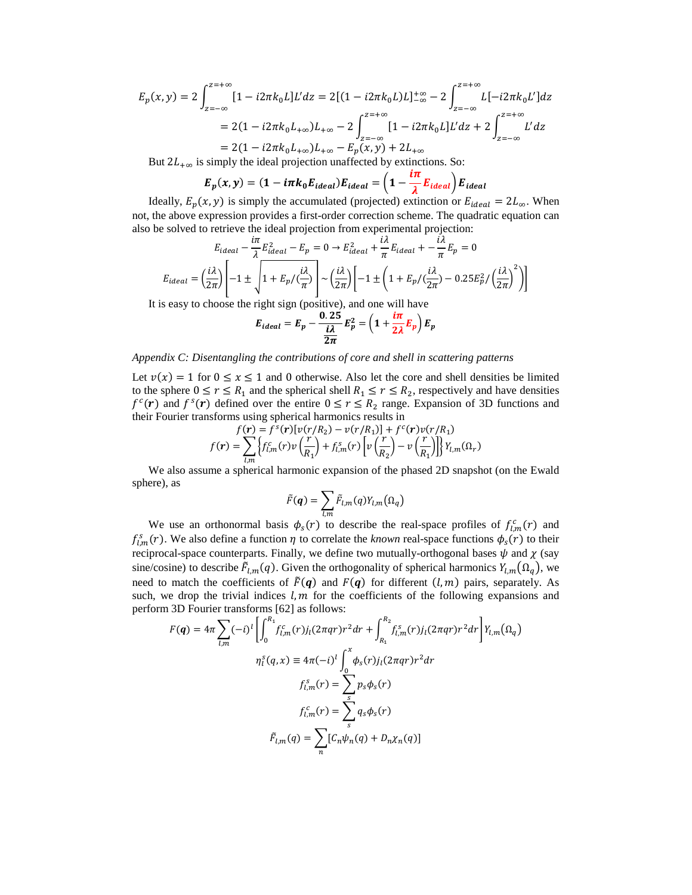$$
E_p(x,y) = 2 \int_{z=-\infty}^{z=\infty} [1 - i2\pi k_0 L] L' dz = 2[(1 - i2\pi k_0 L)L]_{-\infty}^{+\infty} - 2 \int_{z=-\infty}^{z=\infty} L[-i2\pi k_0 L'] dz
$$
  
= 2(1 - i2\pi k\_0 L\_{+\infty})L\_{+\infty} - 2 \int\_{z=-\infty}^{z=\infty} [1 - i2\pi k\_0 L] L' dz + 2 \int\_{z=-\infty}^{z=\infty} L' dz  
= 2(1 - i2\pi k\_0 L\_{+\infty})L\_{+\infty} - E\_p(x,y) + 2L\_{+\infty}

But  $2L_{+\infty}$  is simply the ideal projection unaffected by extinctions. So:

$$
E_p(x,y) = (1 - i\pi k_0 E_{ideal}) E_{ideal} = \left(1 - \frac{i\pi}{\lambda} E_{ideal}\right) E_{ideal}
$$

Ideally,  $E_p(x, y)$  is simply the accumulated (projected) extinction or  $E_{ideal} = 2L_{\infty}$ . When not, the above expression provides a first-order correction scheme. The quadratic equation can also be solved to retrieve the ideal projection from experimental projection:

$$
E_{ideal} - \frac{i\pi}{\lambda} E_{ideal}^2 - E_p = 0 \rightarrow E_{ideal}^2 + \frac{i\lambda}{\pi} E_{ideal} + -\frac{i\lambda}{\pi} E_p = 0
$$

$$
E_{ideal} = \left(\frac{i\lambda}{2\pi}\right) \left[ -1 \pm \sqrt{1 + E_p / (\frac{i\lambda}{\pi})} \right] \sim \left(\frac{i\lambda}{2\pi}\right) \left[ -1 \pm \left(1 + E_p / (\frac{i\lambda}{2\pi}) - 0.25 E_p^2 / \left(\frac{i\lambda}{2\pi}\right)^2 \right) \right]
$$

It is easy to choose the right sign (positive), and one will have

$$
E_{ideal} = E_p - \frac{0.25}{\frac{i\lambda}{2\pi}} E_p^2 = \left(1 + \frac{i\pi}{2\lambda} E_p\right) E_p
$$

#### *Appendix C: Disentangling the contributions of core and shell in scattering patterns*

Let  $v(x) = 1$  for  $0 \le x \le 1$  and 0 otherwise. Also let the core and shell densities be limited to the sphere  $0 \le r \le R_1$  and the spherical shell  $R_1 \le r \le R_2$ , respectively and have densities  $f^c(\mathbf{r})$  and  $f^s(\mathbf{r})$  defined over the entire  $0 \le r \le R_2$  range. Expansion of 3D functions and their Fourier transforms using spherical harmonics results in

$$
f(\mathbf{r}) = f^s(\mathbf{r})[v(r/R_2) - v(r/R_1)] + f^c(\mathbf{r})v(r/R_1)
$$
  

$$
f(\mathbf{r}) = \sum_{l,m} \left\{ f^c_{l,m}(r)v\left(\frac{r}{R_1}\right) + f^s_{l,m}(r)\left[v\left(\frac{r}{R_2}\right) - v\left(\frac{r}{R_1}\right)\right] \right\} Y_{l,m}(\Omega_r)
$$

We also assume a spherical harmonic expansion of the phased 2D snapshot (on the Ewald sphere), as

$$
\tilde{F}(\boldsymbol{q}) = \sum_{l,m} \tilde{F}_{l,m}(q) Y_{l,m}(\Omega_q)
$$

We use an orthonormal basis  $\phi_s(r)$  to describe the real-space profiles of  $f_{l,m}^c(r)$  and  $f_{l,m}^s(r)$ . We also define a function  $\eta$  to correlate the *known* real-space functions  $\phi_s(r)$  to their reciprocal-space counterparts. Finally, we define two mutually-orthogonal bases  $\psi$  and  $\chi$  (say sine/cosine) to describe  $\vec{F}_{l,m}(q)$ . Given the orthogonality of spherical harmonics  $Y_{l,m}(\Omega_q)$ , we need to match the coefficients of  $\tilde{F}(q)$  and  $F(q)$  for different  $(l, m)$  pairs, separately. As such, we drop the trivial indices  $l, m$  for the coefficients of the following expansions and perform 3D Fourier transforms [62] as follows:

$$
F(q) = 4\pi \sum_{l,m} (-i)^l \left[ \int_0^{R_1} f_{l,m}^c(r) j_l(2\pi qr) r^2 dr + \int_{R_1}^{R_2} f_{l,m}^s(r) j_l(2\pi qr) r^2 dr \right] Y_{l,m}(\Omega_q)
$$
  

$$
\eta_l^s(q, x) \equiv 4\pi (-i)^l \int_0^x \phi_s(r) j_l(2\pi qr) r^2 dr
$$
  

$$
f_{l,m}^s(r) = \sum_s p_s \phi_s(r)
$$
  

$$
f_{l,m}^c(r) = \sum_s q_s \phi_s(r)
$$
  

$$
\tilde{F}_{l,m}(q) = \sum_n [C_n \psi_n(q) + D_n \chi_n(q)]
$$